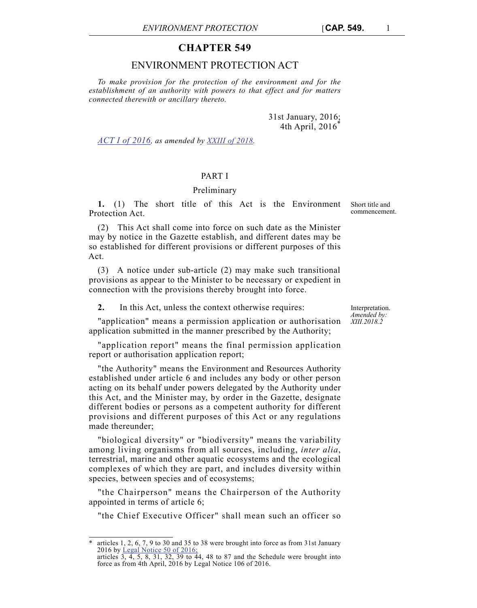# **CHAPTER 549**

## ENVIRONMENT PROTECTION ACT

*To make provision for the protection of the environment and for the establishment of an authority with powers to that effect and for matters connected therewith or ancillary thereto.*

> 31st January, 2016; 4th April,  $2016^{\degree}$

*ACT I of 2016, as amended by XXIII of 2018.*

## PART I

## Preliminary

**1.** (1) The short title of this Act is the Environment Protection Act.

(2) This Act shall come into force on such date as the Minister may by notice in the Gazette establish, and different dates may be so established for different provisions or different purposes of this Act.

(3) A notice under sub-article (2) may make such transitional provisions as appear to the Minister to be necessary or expedient in connection with the provisions thereby brought into force.

**2.** In this Act, unless the context otherwise requires:

"application" means a permission application or authorisation application submitted in the manner prescribed by the Authority;

"application report" means the final permission application report or authorisation application report;

"the Authority" means the Environment and Resources Authority established under article 6 and includes any body or other person acting on its behalf under powers delegated by the Authority under this Act, and the Minister may, by order in the Gazette, designate different bodies or persons as a competent authority for different provisions and different purposes of this Act or any regulations made thereunder;

"biological diversity" or "biodiversity" means the variability among living organisms from all sources, including, *inter alia*, terrestrial, marine and other aquatic ecosystems and the ecological complexes of which they are part, and includes diversity within species, between species and of ecosystems;

"the Chairperson" means the Chairperson of the Authority appointed in terms of article 6;

"the Chief Executive Officer" shall mean such an officer so

Interpretation. *Amended by: XIII.2018.2*

Short title and commencement.

articles 1, 2, 6, 7, 9 to 30 and 35 to 38 were brought into force as from 31st January 2016 by Legal Notice 50 of 2016; articles  $3, 4, 5, 8, 31, 32, 39$  to 44, 48 to 87 and the Schedule were brought into

force as from 4th April, 2016 by Legal Notice 106 of 2016.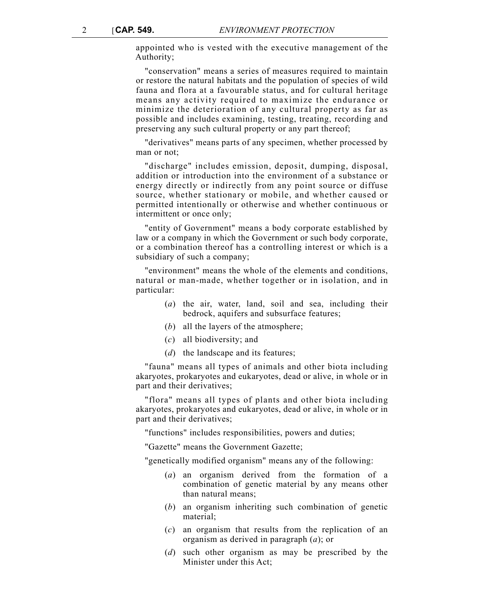appointed who is vested with the executive management of the Authority;

"conservation" means a series of measures required to maintain or restore the natural habitats and the population of species of wild fauna and flora at a favourable status, and for cultural heritage means any activity required to maximize the endurance or minimize the deterioration of any cultural property as far as possible and includes examining, testing, treating, recording and preserving any such cultural property or any part thereof;

"derivatives" means parts of any specimen, whether processed by man or not;

"discharge" includes emission, deposit, dumping, disposal, addition or introduction into the environment of a substance or energy directly or indirectly from any point source or diffuse source, whether stationary or mobile, and whether caused or permitted intentionally or otherwise and whether continuous or intermittent or once only;

"entity of Government" means a body corporate established by law or a company in which the Government or such body corporate, or a combination thereof has a controlling interest or which is a subsidiary of such a company;

"environment" means the whole of the elements and conditions, natural or man-made, whether together or in isolation, and in particular:

- (*a*) the air, water, land, soil and sea, including their bedrock, aquifers and subsurface features;
- (*b*) all the layers of the atmosphere;
- (*c*) all biodiversity; and
- (*d*) the landscape and its features;

"fauna" means all types of animals and other biota including akaryotes, prokaryotes and eukaryotes, dead or alive, in whole or in part and their derivatives;

"flora" means all types of plants and other biota including akaryotes, prokaryotes and eukaryotes, dead or alive, in whole or in part and their derivatives;

"functions" includes responsibilities, powers and duties;

"Gazette" means the Government Gazette;

"genetically modified organism" means any of the following:

- (*a*) an organism derived from the formation of a combination of genetic material by any means other than natural means;
- (*b*) an organism inheriting such combination of genetic material;
- (*c*) an organism that results from the replication of an organism as derived in paragraph (*a*); or
- (*d*) such other organism as may be prescribed by the Minister under this Act;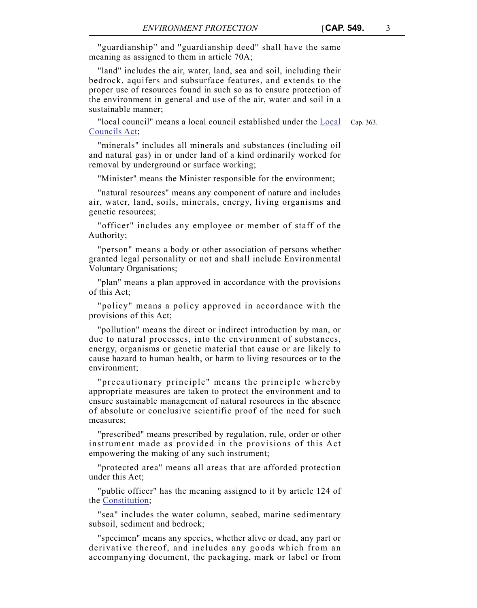''guardianship'' and ''guardianship deed'' shall have the same meaning as assigned to them in article 70A;

"land" includes the air, water, land, sea and soil, including their bedrock, aquifers and subsurface features, and extends to the proper use of resources found in such so as to ensure protection of the environment in general and use of the air, water and soil in a sustainable manner;

"local council" means a local council established under the Local Cap. 363. Councils Act;

"minerals" includes all minerals and substances (including oil and natural gas) in or under land of a kind ordinarily worked for removal by underground or surface working;

"Minister" means the Minister responsible for the environment;

"natural resources" means any component of nature and includes air, water, land, soils, minerals, energy, living organisms and genetic resources;

"officer" includes any employee or member of staff of the Authority;

"person" means a body or other association of persons whether granted legal personality or not and shall include Environmental Voluntary Organisations;

"plan" means a plan approved in accordance with the provisions of this Act;

"policy" means a policy approved in accordance with the provisions of this Act;

"pollution" means the direct or indirect introduction by man, or due to natural processes, into the environment of substances, energy, organisms or genetic material that cause or are likely to cause hazard to human health, or harm to living resources or to the environment;

"precautionary principle" means the principle whereby appropriate measures are taken to protect the environment and to ensure sustainable management of natural resources in the absence of absolute or conclusive scientific proof of the need for such measures;

"prescribed" means prescribed by regulation, rule, order or other instrument made as provided in the provisions of this Act empowering the making of any such instrument;

"protected area" means all areas that are afforded protection under this Act;

"public officer" has the meaning assigned to it by article 124 of the Constitution;

"sea" includes the water column, seabed, marine sedimentary subsoil, sediment and bedrock;

"specimen" means any species, whether alive or dead, any part or derivative thereof, and includes any goods which from an accompanying document, the packaging, mark or label or from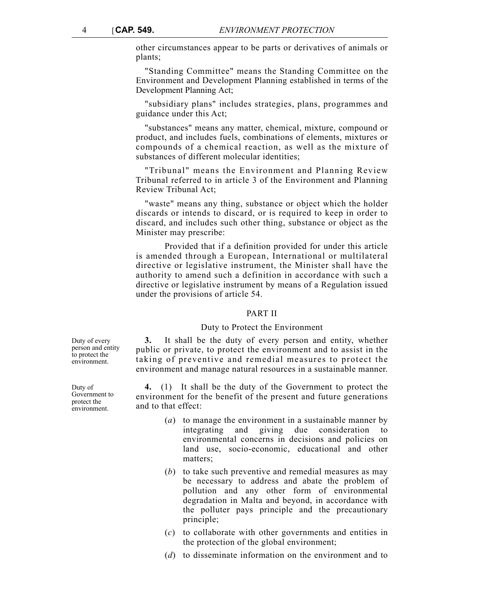other circumstances appear to be parts or derivatives of animals or plants;

"Standing Committee" means the Standing Committee on the Environment and Development Planning established in terms of the Development Planning Act;

"subsidiary plans" includes strategies, plans, programmes and guidance under this Act;

"substances" means any matter, chemical, mixture, compound or product, and includes fuels, combinations of elements, mixtures or compounds of a chemical reaction, as well as the mixture of substances of different molecular identities;

"Tribunal" means the Environment and Planning Review Tribunal referred to in article 3 of the Environment and Planning Review Tribunal Act;

"waste" means any thing, substance or object which the holder discards or intends to discard, or is required to keep in order to discard, and includes such other thing, substance or object as the Minister may prescribe:

Provided that if a definition provided for under this article is amended through a European, International or multilateral directive or legislative instrument, the Minister shall have the authority to amend such a definition in accordance with such a directive or legislative instrument by means of a Regulation issued under the provisions of article 54.

#### PART II

#### Duty to Protect the Environment

**3.** It shall be the duty of every person and entity, whether public or private, to protect the environment and to assist in the taking of preventive and remedial measures to protect the environment and manage natural resources in a sustainable manner.

**4.** (1) It shall be the duty of the Government to protect the environment for the benefit of the present and future generations and to that effect:

- (*a*) to manage the environment in a sustainable manner by integrating and giving due consideration to environmental concerns in decisions and policies on land use, socio-economic, educational and other matters;
- (*b*) to take such preventive and remedial measures as may be necessary to address and abate the problem of pollution and any other form of environmental degradation in Malta and beyond, in accordance with the polluter pays principle and the precautionary principle;
- (*c*) to collaborate with other governments and entities in the protection of the global environment;
- (*d*) to disseminate information on the environment and to

Duty of every person and entity to protect the environment.

Duty of Government to protect the environment.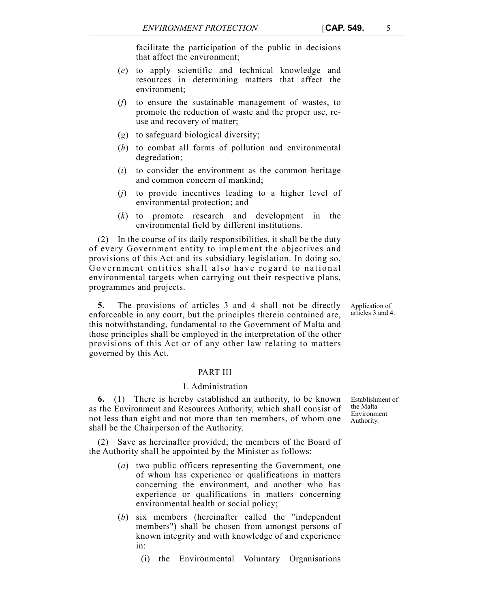facilitate the participation of the public in decisions that affect the environment;

- (*e*) to apply scientific and technical knowledge and resources in determining matters that affect the environment;
- (*f*) to ensure the sustainable management of wastes, to promote the reduction of waste and the proper use, reuse and recovery of matter;
- (*g*) to safeguard biological diversity;
- (*h*) to combat all forms of pollution and environmental degredation;
- (*i*) to consider the environment as the common heritage and common concern of mankind;
- (*j*) to provide incentives leading to a higher level of environmental protection; and
- (*k*) to promote research and development in the environmental field by different institutions.

(2) In the course of its daily responsibilities, it shall be the duty of every Government entity to implement the objectives and provisions of this Act and its subsidiary legislation. In doing so, Government entities shall also have regard to national environmental targets when carrying out their respective plans, programmes and projects.

**5.** The provisions of articles 3 and 4 shall not be directly enforceable in any court, but the principles therein contained are, this notwithstanding, fundamental to the Government of Malta and those principles shall be employed in the interpretation of the other provisions of this Act or of any other law relating to matters governed by this Act.

## PART III

## 1. Administration

**6.** (1) There is hereby established an authority, to be known as the Environment and Resources Authority, which shall consist of not less than eight and not more than ten members, of whom one shall be the Chairperson of the Authority.

Save as hereinafter provided, the members of the Board of the Authority shall be appointed by the Minister as follows:

- (*a*) two public officers representing the Government, one of whom has experience or qualifications in matters concerning the environment, and another who has experience or qualifications in matters concerning environmental health or social policy;
- (*b*) six members (hereinafter called the "independent members") shall be chosen from amongst persons of known integrity and with knowledge of and experience in:
	- (i) the Environmental Voluntary Organisations

Establishment of the Malta Environment Authority.

Application of articles 3 and 4.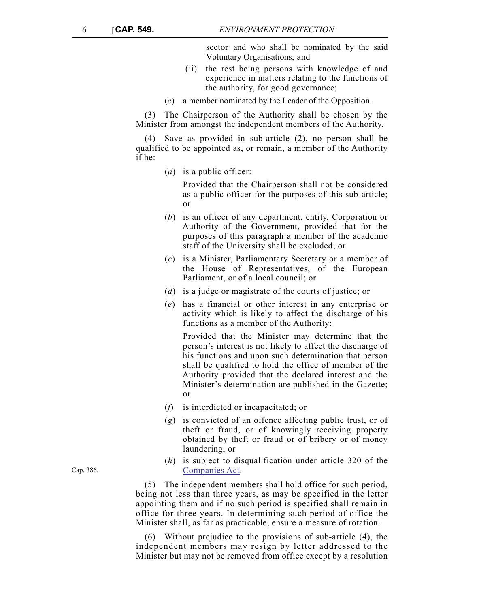sector and who shall be nominated by the said Voluntary Organisations; and

- (ii) the rest being persons with knowledge of and experience in matters relating to the functions of the authority, for good governance;
- (*c*) a member nominated by the Leader of the Opposition.

(3) The Chairperson of the Authority shall be chosen by the Minister from amongst the independent members of the Authority.

(4) Save as provided in sub-article (2), no person shall be qualified to be appointed as, or remain, a member of the Authority if he:

(*a*) is a public officer:

Provided that the Chairperson shall not be considered as a public officer for the purposes of this sub-article; or

- (*b*) is an officer of any department, entity, Corporation or Authority of the Government, provided that for the purposes of this paragraph a member of the academic staff of the University shall be excluded; or
- (*c*) is a Minister, Parliamentary Secretary or a member of the House of Representatives, of the European Parliament, or of a local council; or
- (*d*) is a judge or magistrate of the courts of justice; or
- (*e*) has a financial or other interest in any enterprise or activity which is likely to affect the discharge of his functions as a member of the Authority:

Provided that the Minister may determine that the person's interest is not likely to affect the discharge of his functions and upon such determination that person shall be qualified to hold the office of member of the Authority provided that the declared interest and the Minister's determination are published in the Gazette; or

- (*f*) is interdicted or incapacitated; or
- (*g*) is convicted of an offence affecting public trust, or of theft or fraud, or of knowingly receiving property obtained by theft or fraud or of bribery or of money laundering; or
- (*h*) is subject to disqualification under article 320 of the Companies Act.

(5) The independent members shall hold office for such period, being not less than three years, as may be specified in the letter appointing them and if no such period is specified shall remain in office for three years. In determining such period of office the Minister shall, as far as practicable, ensure a measure of rotation.

(6) Without prejudice to the provisions of sub-article (4), the independent members may resign by letter addressed to the Minister but may not be removed from office except by a resolution

Cap. 386.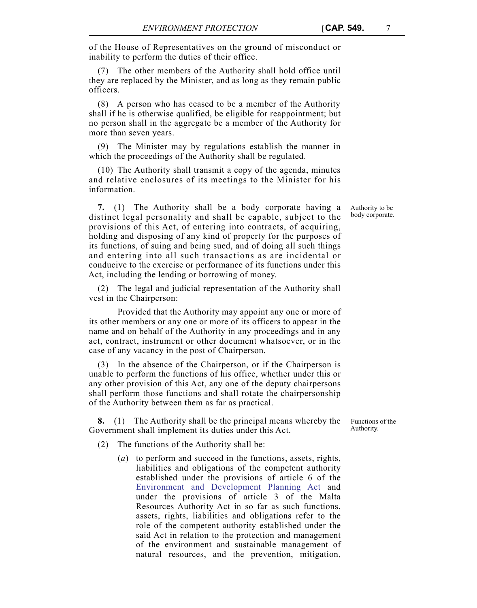of the House of Representatives on the ground of misconduct or inability to perform the duties of their office.

(7) The other members of the Authority shall hold office until they are replaced by the Minister, and as long as they remain public officers.

(8) A person who has ceased to be a member of the Authority shall if he is otherwise qualified, be eligible for reappointment; but no person shall in the aggregate be a member of the Authority for more than seven years.

(9) The Minister may by regulations establish the manner in which the proceedings of the Authority shall be regulated.

(10) The Authority shall transmit a copy of the agenda, minutes and relative enclosures of its meetings to the Minister for his information.

**7.** (1) The Authority shall be a body corporate having a distinct legal personality and shall be capable, subject to the provisions of this Act, of entering into contracts, of acquiring, holding and disposing of any kind of property for the purposes of its functions, of suing and being sued, and of doing all such things and entering into all such transactions as are incidental or conducive to the exercise or performance of its functions under this Act, including the lending or borrowing of money.

(2) The legal and judicial representation of the Authority shall vest in the Chairperson:

Provided that the Authority may appoint any one or more of its other members or any one or more of its officers to appear in the name and on behalf of the Authority in any proceedings and in any act, contract, instrument or other document whatsoever, or in the case of any vacancy in the post of Chairperson.

(3) In the absence of the Chairperson, or if the Chairperson is unable to perform the functions of his office, whether under this or any other provision of this Act, any one of the deputy chairpersons shall perform those functions and shall rotate the chairpersonship of the Authority between them as far as practical.

**8.** (1) The Authority shall be the principal means whereby the Government shall implement its duties under this Act.

(2) The functions of the Authority shall be:

(*a*) to perform and succeed in the functions, assets, rights, liabilities and obligations of the competent authority established under the provisions of article 6 of the Environment and Development Planning Act and under the provisions of article 3 of the Malta Resources Authority Act in so far as such functions, assets, rights, liabilities and obligations refer to the role of the competent authority established under the said Act in relation to the protection and management of the environment and sustainable management of natural resources, and the prevention, mitigation,

Authority to be body corporate.

Functions of the Authority.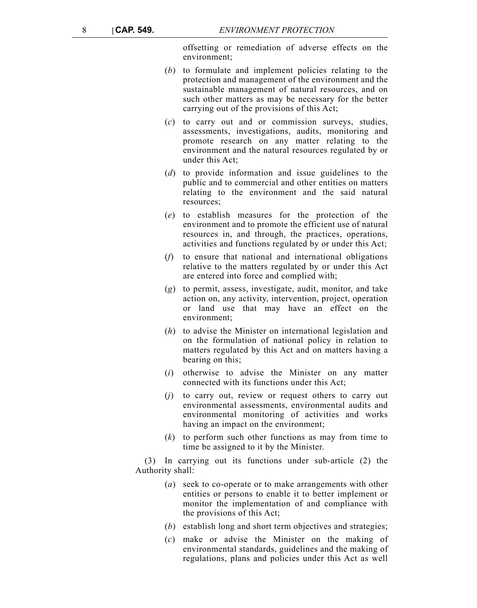offsetting or remediation of adverse effects on the environment;

- (*b*) to formulate and implement policies relating to the protection and management of the environment and the sustainable management of natural resources, and on such other matters as may be necessary for the better carrying out of the provisions of this Act;
- (*c*) to carry out and or commission surveys, studies, assessments, investigations, audits, monitoring and promote research on any matter relating to the environment and the natural resources regulated by or under this Act;
- (*d*) to provide information and issue guidelines to the public and to commercial and other entities on matters relating to the environment and the said natural resources;
- (*e*) to establish measures for the protection of the environment and to promote the efficient use of natural resources in, and through, the practices, operations, activities and functions regulated by or under this Act;
- (*f*) to ensure that national and international obligations relative to the matters regulated by or under this Act are entered into force and complied with;
- (*g*) to permit, assess, investigate, audit, monitor, and take action on, any activity, intervention, project, operation or land use that may have an effect on the environment;
- (*h*) to advise the Minister on international legislation and on the formulation of national policy in relation to matters regulated by this Act and on matters having a bearing on this;
- (*i*) otherwise to advise the Minister on any matter connected with its functions under this Act;
- (*j*) to carry out, review or request others to carry out environmental assessments, environmental audits and environmental monitoring of activities and works having an impact on the environment;
- (*k*) to perform such other functions as may from time to time be assigned to it by the Minister.

(3) In carrying out its functions under sub-article (2) the Authority shall:

- (*a*) seek to co-operate or to make arrangements with other entities or persons to enable it to better implement or monitor the implementation of and compliance with the provisions of this Act;
- (*b*) establish long and short term objectives and strategies;
- (*c*) make or advise the Minister on the making of environmental standards, guidelines and the making of regulations, plans and policies under this Act as well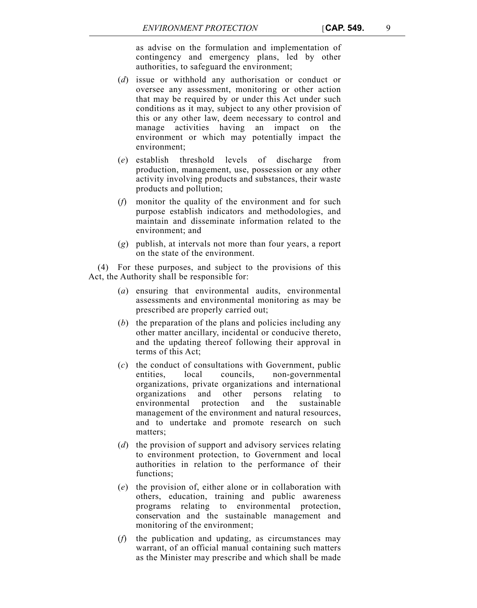as advise on the formulation and implementation of contingency and emergency plans, led by other authorities, to safeguard the environment;

- (*d*) issue or withhold any authorisation or conduct or oversee any assessment, monitoring or other action that may be required by or under this Act under such conditions as it may, subject to any other provision of this or any other law, deem necessary to control and manage activities having an impact on the environment or which may potentially impact the environment;
- (*e*) establish threshold levels of discharge from production, management, use, possession or any other activity involving products and substances, their waste products and pollution;
- (*f*) monitor the quality of the environment and for such purpose establish indicators and methodologies, and maintain and disseminate information related to the environment; and
- (*g*) publish, at intervals not more than four years, a report on the state of the environment.

(4) For these purposes, and subject to the provisions of this Act, the Authority shall be responsible for:

- (*a*) ensuring that environmental audits, environmental assessments and environmental monitoring as may be prescribed are properly carried out;
- (*b*) the preparation of the plans and policies including any other matter ancillary, incidental or conducive thereto, and the updating thereof following their approval in terms of this Act;
- (*c*) the conduct of consultations with Government, public entities, local councils, non-governmental organizations, private organizations and international organizations and other persons relating to environmental protection and the sustainable management of the environment and natural resources, and to undertake and promote research on such matters;
- (*d*) the provision of support and advisory services relating to environment protection, to Government and local authorities in relation to the performance of their functions;
- (*e*) the provision of, either alone or in collaboration with others, education, training and public awareness programs relating to environmental protection, conservation and the sustainable management and monitoring of the environment;
- (*f*) the publication and updating, as circumstances may warrant, of an official manual containing such matters as the Minister may prescribe and which shall be made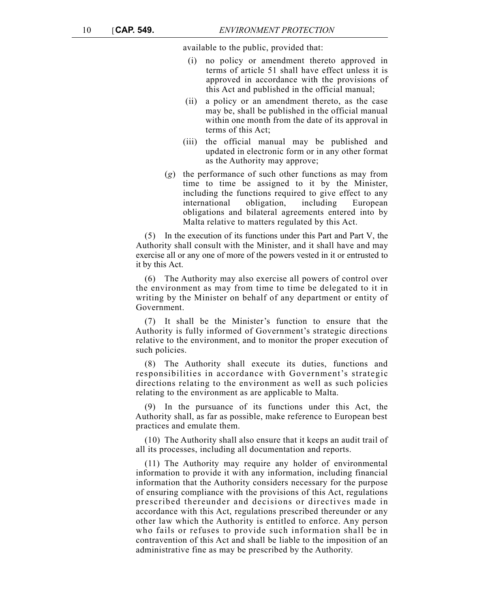available to the public, provided that:

- (i) no policy or amendment thereto approved in terms of article 51 shall have effect unless it is approved in accordance with the provisions of this Act and published in the official manual;
- (ii) a policy or an amendment thereto, as the case may be, shall be published in the official manual within one month from the date of its approval in terms of this Act;
- (iii) the official manual may be published and updated in electronic form or in any other format as the Authority may approve;
- (*g*) the performance of such other functions as may from time to time be assigned to it by the Minister, including the functions required to give effect to any international obligation, including European obligations and bilateral agreements entered into by Malta relative to matters regulated by this Act.

(5) In the execution of its functions under this Part and Part V, the Authority shall consult with the Minister, and it shall have and may exercise all or any one of more of the powers vested in it or entrusted to it by this Act.

(6) The Authority may also exercise all powers of control over the environment as may from time to time be delegated to it in writing by the Minister on behalf of any department or entity of Government.

(7) It shall be the Minister's function to ensure that the Authority is fully informed of Government's strategic directions relative to the environment, and to monitor the proper execution of such policies.

(8) The Authority shall execute its duties, functions and responsibilities in accordance with Government's strategic directions relating to the environment as well as such policies relating to the environment as are applicable to Malta.

(9) In the pursuance of its functions under this Act, the Authority shall, as far as possible, make reference to European best practices and emulate them.

(10) The Authority shall also ensure that it keeps an audit trail of all its processes, including all documentation and reports.

(11) The Authority may require any holder of environmental information to provide it with any information, including financial information that the Authority considers necessary for the purpose of ensuring compliance with the provisions of this Act, regulations prescribed thereunder and decisions or directives made in accordance with this Act, regulations prescribed thereunder or any other law which the Authority is entitled to enforce. Any person who fails or refuses to provide such information shall be in contravention of this Act and shall be liable to the imposition of an administrative fine as may be prescribed by the Authority.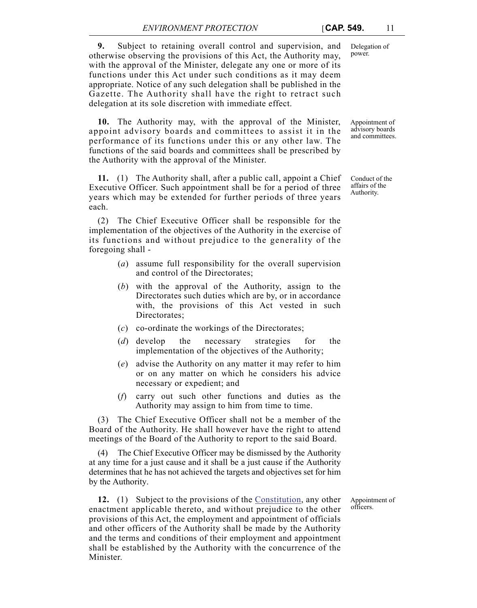**9.** Subject to retaining overall control and supervision, and otherwise observing the provisions of this Act, the Authority may, with the approval of the Minister, delegate any one or more of its functions under this Act under such conditions as it may deem appropriate. Notice of any such delegation shall be published in the Gazette. The Authority shall have the right to retract such delegation at its sole discretion with immediate effect.

**10.** The Authority may, with the approval of the Minister, appoint advisory boards and committees to assist it in the performance of its functions under this or any other law. The functions of the said boards and committees shall be prescribed by the Authority with the approval of the Minister.

**11.** (1) The Authority shall, after a public call, appoint a Chief Executive Officer. Such appointment shall be for a period of three years which may be extended for further periods of three years each.

(2) The Chief Executive Officer shall be responsible for the implementation of the objectives of the Authority in the exercise of its functions and without prejudice to the generality of the foregoing shall -

- (*a*) assume full responsibility for the overall supervision and control of the Directorates;
- (*b*) with the approval of the Authority, assign to the Directorates such duties which are by, or in accordance with, the provisions of this Act vested in such Directorates;
- (*c*) co-ordinate the workings of the Directorates;
- (*d*) develop the necessary strategies for the implementation of the objectives of the Authority;
- (*e*) advise the Authority on any matter it may refer to him or on any matter on which he considers his advice necessary or expedient; and
- (*f*) carry out such other functions and duties as the Authority may assign to him from time to time.

(3) The Chief Executive Officer shall not be a member of the Board of the Authority. He shall however have the right to attend meetings of the Board of the Authority to report to the said Board.

(4) The Chief Executive Officer may be dismissed by the Authority at any time for a just cause and it shall be a just cause if the Authority determines that he has not achieved the targets and objectives set for him by the Authority.

**12.** (1) Subject to the provisions of the Constitution, any other enactment applicable thereto, and without prejudice to the other provisions of this Act, the employment and appointment of officials and other officers of the Authority shall be made by the Authority and the terms and conditions of their employment and appointment shall be established by the Authority with the concurrence of the Minister.

Delegation of power.

Appointment of advisory boards and committees.

Conduct of the affairs of the Authority.

Appointment of officers.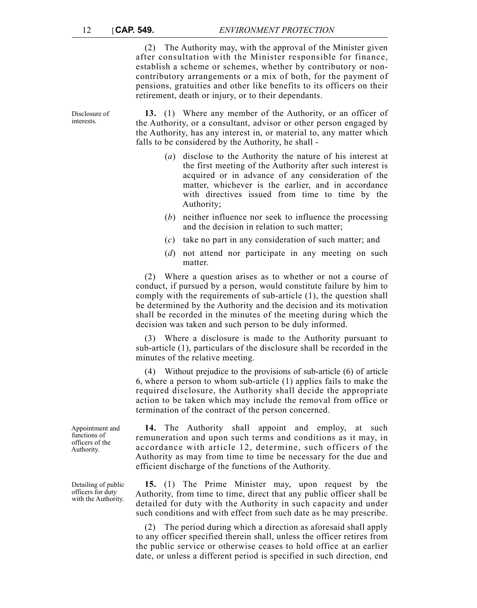Disclosure of interests.

(2) The Authority may, with the approval of the Minister given after consultation with the Minister responsible for finance, establish a scheme or schemes, whether by contributory or noncontributory arrangements or a mix of both, for the payment of pensions, gratuities and other like benefits to its officers on their retirement, death or injury, or to their dependants.

**13.** (1) Where any member of the Authority, or an officer of the Authority, or a consultant, advisor or other person engaged by the Authority, has any interest in, or material to, any matter which falls to be considered by the Authority, he shall -

- (*a*) disclose to the Authority the nature of his interest at the first meeting of the Authority after such interest is acquired or in advance of any consideration of the matter, whichever is the earlier, and in accordance with directives issued from time to time by the Authority;
- (*b*) neither influence nor seek to influence the processing and the decision in relation to such matter;
- (*c*) take no part in any consideration of such matter; and
- (*d*) not attend nor participate in any meeting on such matter.

(2) Where a question arises as to whether or not a course of conduct, if pursued by a person, would constitute failure by him to comply with the requirements of sub-article (1), the question shall be determined by the Authority and the decision and its motivation shall be recorded in the minutes of the meeting during which the decision was taken and such person to be duly informed.

(3) Where a disclosure is made to the Authority pursuant to sub-article (1), particulars of the disclosure shall be recorded in the minutes of the relative meeting.

(4) Without prejudice to the provisions of sub-article (6) of article 6, where a person to whom sub-article (1) applies fails to make the required disclosure, the Authority shall decide the appropriate action to be taken which may include the removal from office or termination of the contract of the person concerned.

**14.** The Authority shall appoint and employ, at such remuneration and upon such terms and conditions as it may, in accordance with article 12, determine, such officers of the Authority as may from time to time be necessary for the due and efficient discharge of the functions of the Authority.

**15.** (1) The Prime Minister may, upon request by the Authority, from time to time, direct that any public officer shall be detailed for duty with the Authority in such capacity and under such conditions and with effect from such date as he may prescribe.

(2) The period during which a direction as aforesaid shall apply to any officer specified therein shall, unless the officer retires from the public service or otherwise ceases to hold office at an earlier date, or unless a different period is specified in such direction, end

Appointment and functions of officers of the Authority.

Detailing of public officers for duty with the Authority.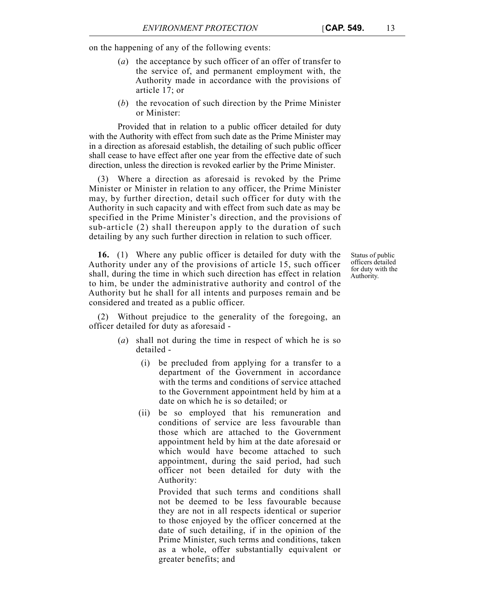on the happening of any of the following events:

- (*a*) the acceptance by such officer of an offer of transfer to the service of, and permanent employment with, the Authority made in accordance with the provisions of article 17; or
- (*b*) the revocation of such direction by the Prime Minister or Minister:

Provided that in relation to a public officer detailed for duty with the Authority with effect from such date as the Prime Minister may in a direction as aforesaid establish, the detailing of such public officer shall cease to have effect after one year from the effective date of such direction, unless the direction is revoked earlier by the Prime Minister.

(3) Where a direction as aforesaid is revoked by the Prime Minister or Minister in relation to any officer, the Prime Minister may, by further direction, detail such officer for duty with the Authority in such capacity and with effect from such date as may be specified in the Prime Minister's direction, and the provisions of sub-article (2) shall thereupon apply to the duration of such detailing by any such further direction in relation to such officer.

**16.** (1) Where any public officer is detailed for duty with the Authority under any of the provisions of article 15, such officer shall, during the time in which such direction has effect in relation to him, be under the administrative authority and control of the Authority but he shall for all intents and purposes remain and be considered and treated as a public officer.

Status of public officers detailed for duty with the Authority.

(2) Without prejudice to the generality of the foregoing, an officer detailed for duty as aforesaid -

- (*a*) shall not during the time in respect of which he is so detailed -
	- (i) be precluded from applying for a transfer to a department of the Government in accordance with the terms and conditions of service attached to the Government appointment held by him at a date on which he is so detailed; or
	- (ii) be so employed that his remuneration and conditions of service are less favourable than those which are attached to the Government appointment held by him at the date aforesaid or which would have become attached to such appointment, during the said period, had such officer not been detailed for duty with the Authority:

Provided that such terms and conditions shall not be deemed to be less favourable because they are not in all respects identical or superior to those enjoyed by the officer concerned at the date of such detailing, if in the opinion of the Prime Minister, such terms and conditions, taken as a whole, offer substantially equivalent or greater benefits; and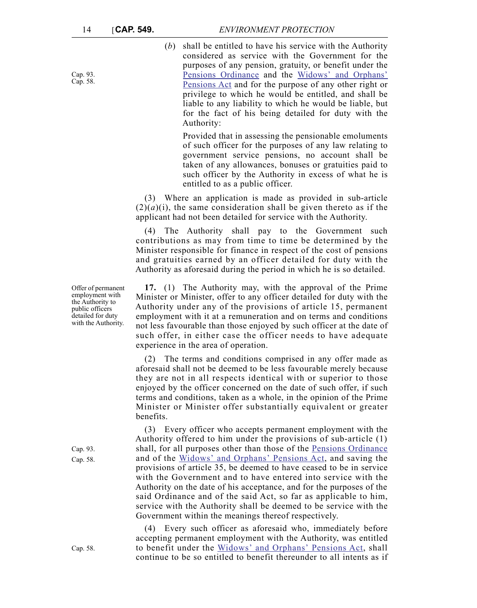Cap. 93. Cap. 58. (*b*) shall be entitled to have his service with the Authority considered as service with the Government for the purposes of any pension, gratuity, or benefit under the Pensions Ordinance and the Widows' and Orphans' Pensions Act and for the purpose of any other right or privilege to which he would be entitled, and shall be liable to any liability to which he would be liable, but for the fact of his being detailed for duty with the Authority:

Provided that in assessing the pensionable emoluments of such officer for the purposes of any law relating to government service pensions, no account shall be taken of any allowances, bonuses or gratuities paid to such officer by the Authority in excess of what he is entitled to as a public officer.

(3) Where an application is made as provided in sub-article  $(2)(a)(i)$ , the same consideration shall be given thereto as if the applicant had not been detailed for service with the Authority.

(4) The Authority shall pay to the Government such contributions as may from time to time be determined by the Minister responsible for finance in respect of the cost of pensions and gratuities earned by an officer detailed for duty with the Authority as aforesaid during the period in which he is so detailed.

**17.** (1) The Authority may, with the approval of the Prime Minister or Minister, offer to any officer detailed for duty with the Authority under any of the provisions of article 15, permanent employment with it at a remuneration and on terms and conditions not less favourable than those enjoyed by such officer at the date of such offer, in either case the officer needs to have adequate experience in the area of operation.

(2) The terms and conditions comprised in any offer made as aforesaid shall not be deemed to be less favourable merely because they are not in all respects identical with or superior to those enjoyed by the officer concerned on the date of such offer, if such terms and conditions, taken as a whole, in the opinion of the Prime Minister or Minister offer substantially equivalent or greater benefits.

(3) Every officer who accepts permanent employment with the Authority offered to him under the provisions of sub-article (1) shall, for all purposes other than those of the Pensions Ordinance and of the Widows' and Orphans' Pensions Act, and saving the provisions of article 35, be deemed to have ceased to be in service with the Government and to have entered into service with the Authority on the date of his acceptance, and for the purposes of the said Ordinance and of the said Act, so far as applicable to him, service with the Authority shall be deemed to be service with the Government within the meanings thereof respectively.

(4) Every such officer as aforesaid who, immediately before accepting permanent employment with the Authority, was entitled to benefit under the Widows' and Orphans' Pensions Act, shall continue to be so entitled to benefit thereunder to all intents as if

Offer of permanent employment with the Authority to public officers detailed for duty with the Authority.

Cap. 93. Cap. 58.

Cap. 58.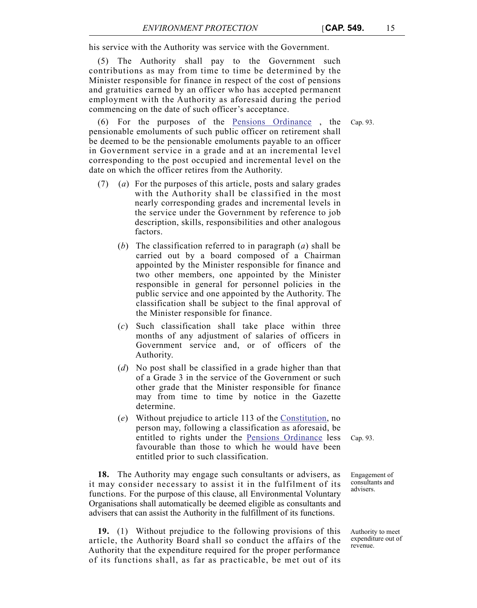his service with the Authority was service with the Government.

(5) The Authority shall pay to the Government such contributions as may from time to time be determined by the Minister responsible for finance in respect of the cost of pensions and gratuities earned by an officer who has accepted permanent employment with the Authority as aforesaid during the period commencing on the date of such officer's acceptance.

(6) For the purposes of the Pensions Ordinance , the Cap. 93. pensionable emoluments of such public officer on retirement shall be deemed to be the pensionable emoluments payable to an officer in Government service in a grade and at an incremental level corresponding to the post occupied and incremental level on the date on which the officer retires from the Authority.

- (7) (*a*) For the purposes of this article, posts and salary grades with the Authority shall be classified in the most nearly corresponding grades and incremental levels in the service under the Government by reference to job description, skills, responsibilities and other analogous factors.
	- (*b*) The classification referred to in paragraph (*a*) shall be carried out by a board composed of a Chairman appointed by the Minister responsible for finance and two other members, one appointed by the Minister responsible in general for personnel policies in the public service and one appointed by the Authority. The classification shall be subject to the final approval of the Minister responsible for finance.
	- (*c*) Such classification shall take place within three months of any adjustment of salaries of officers in Government service and, or of officers of the Authority.
	- (*d*) No post shall be classified in a grade higher than that of a Grade 3 in the service of the Government or such other grade that the Minister responsible for finance may from time to time by notice in the Gazette determine.
	- (*e*) Without prejudice to article 113 of the Constitution, no person may, following a classification as aforesaid, be entitled to rights under the Pensions Ordinance less favourable than those to which he would have been entitled prior to such classification.

**18.** The Authority may engage such consultants or advisers, as it may consider necessary to assist it in the fulfilment of its functions. For the purpose of this clause, all Environmental Voluntary Organisations shall automatically be deemed eligible as consultants and advisers that can assist the Authority in the fulfillment of its functions.

**19.** (1) Without prejudice to the following provisions of this article, the Authority Board shall so conduct the affairs of the Authority that the expenditure required for the proper performance of its functions shall, as far as practicable, be met out of its Cap. 93.

Engagement of consultants and advisers.

Authority to meet expenditure out of revenue.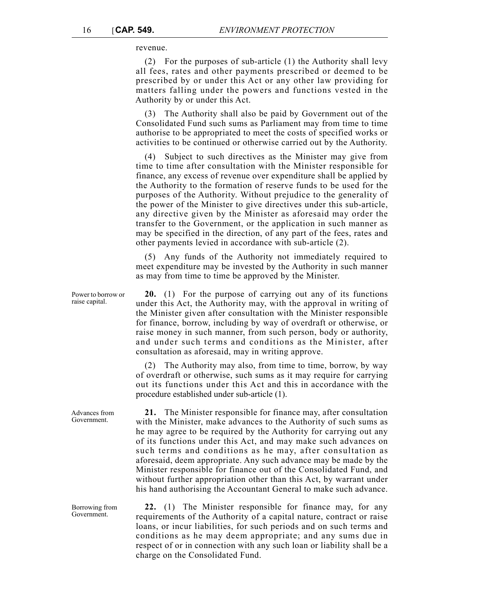revenue.

(2) For the purposes of sub-article (1) the Authority shall levy all fees, rates and other payments prescribed or deemed to be prescribed by or under this Act or any other law providing for matters falling under the powers and functions vested in the Authority by or under this Act.

(3) The Authority shall also be paid by Government out of the Consolidated Fund such sums as Parliament may from time to time authorise to be appropriated to meet the costs of specified works or activities to be continued or otherwise carried out by the Authority.

(4) Subject to such directives as the Minister may give from time to time after consultation with the Minister responsible for finance, any excess of revenue over expenditure shall be applied by the Authority to the formation of reserve funds to be used for the purposes of the Authority. Without prejudice to the generality of the power of the Minister to give directives under this sub-article, any directive given by the Minister as aforesaid may order the transfer to the Government, or the application in such manner as may be specified in the direction, of any part of the fees, rates and other payments levied in accordance with sub-article (2).

(5) Any funds of the Authority not immediately required to meet expenditure may be invested by the Authority in such manner as may from time to time be approved by the Minister.

**20.** (1) For the purpose of carrying out any of its functions under this Act, the Authority may, with the approval in writing of the Minister given after consultation with the Minister responsible for finance, borrow, including by way of overdraft or otherwise, or raise money in such manner, from such person, body or authority, and under such terms and conditions as the Minister, after consultation as aforesaid, may in writing approve.

(2) The Authority may also, from time to time, borrow, by way of overdraft or otherwise, such sums as it may require for carrying out its functions under this Act and this in accordance with the procedure established under sub-article (1).

**21.** The Minister responsible for finance may, after consultation with the Minister, make advances to the Authority of such sums as he may agree to be required by the Authority for carrying out any of its functions under this Act, and may make such advances on such terms and conditions as he may, after consultation as aforesaid, deem appropriate. Any such advance may be made by the Minister responsible for finance out of the Consolidated Fund, and without further appropriation other than this Act, by warrant under his hand authorising the Accountant General to make such advance.

**22.** (1) The Minister responsible for finance may, for any requirements of the Authority of a capital nature, contract or raise loans, or incur liabilities, for such periods and on such terms and conditions as he may deem appropriate; and any sums due in respect of or in connection with any such loan or liability shall be a charge on the Consolidated Fund.

Power to borrow or raise capital.

Advances from Government.

Borrowing from Government.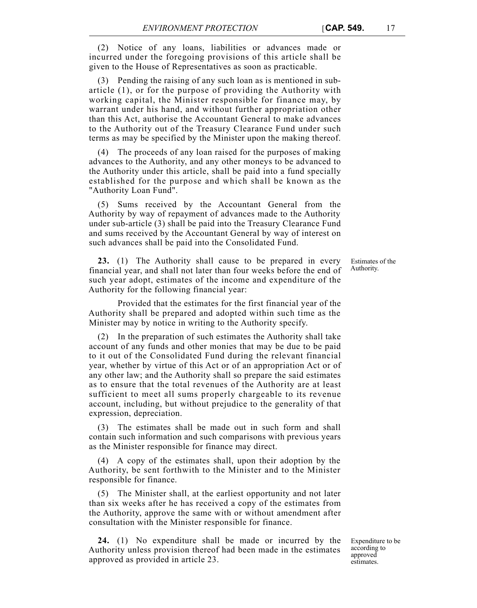(2) Notice of any loans, liabilities or advances made or incurred under the foregoing provisions of this article shall be given to the House of Representatives as soon as practicable.

(3) Pending the raising of any such loan as is mentioned in subarticle (1), or for the purpose of providing the Authority with working capital, the Minister responsible for finance may, by warrant under his hand, and without further appropriation other than this Act, authorise the Accountant General to make advances to the Authority out of the Treasury Clearance Fund under such terms as may be specified by the Minister upon the making thereof.

(4) The proceeds of any loan raised for the purposes of making advances to the Authority, and any other moneys to be advanced to the Authority under this article, shall be paid into a fund specially established for the purpose and which shall be known as the "Authority Loan Fund".

(5) Sums received by the Accountant General from the Authority by way of repayment of advances made to the Authority under sub-article (3) shall be paid into the Treasury Clearance Fund and sums received by the Accountant General by way of interest on such advances shall be paid into the Consolidated Fund.

**23.** (1) The Authority shall cause to be prepared in every financial year, and shall not later than four weeks before the end of such year adopt, estimates of the income and expenditure of the Authority for the following financial year:

Provided that the estimates for the first financial year of the Authority shall be prepared and adopted within such time as the Minister may by notice in writing to the Authority specify.

(2) In the preparation of such estimates the Authority shall take account of any funds and other monies that may be due to be paid to it out of the Consolidated Fund during the relevant financial year, whether by virtue of this Act or of an appropriation Act or of any other law; and the Authority shall so prepare the said estimates as to ensure that the total revenues of the Authority are at least sufficient to meet all sums properly chargeable to its revenue account, including, but without prejudice to the generality of that expression, depreciation.

(3) The estimates shall be made out in such form and shall contain such information and such comparisons with previous years as the Minister responsible for finance may direct.

(4) A copy of the estimates shall, upon their adoption by the Authority, be sent forthwith to the Minister and to the Minister responsible for finance.

(5) The Minister shall, at the earliest opportunity and not later than six weeks after he has received a copy of the estimates from the Authority, approve the same with or without amendment after consultation with the Minister responsible for finance.

**24.** (1) No expenditure shall be made or incurred by the Authority unless provision thereof had been made in the estimates approved as provided in article 23.

Expenditure to be according to approved estimates.

Estimates of the Authority.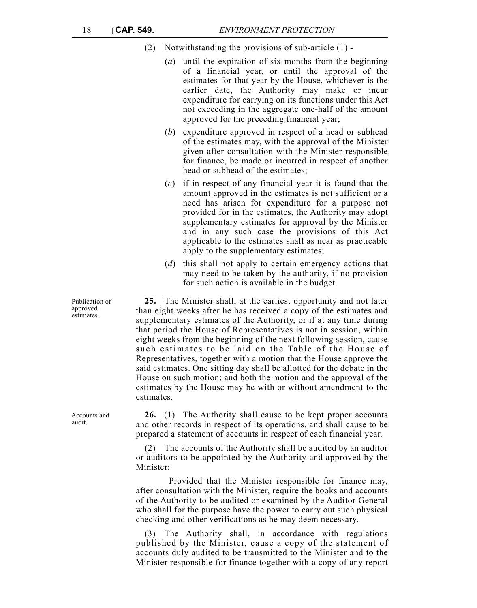- (2) Notwithstanding the provisions of sub-article (1)
	- (*a*) until the expiration of six months from the beginning of a financial year, or until the approval of the estimates for that year by the House, whichever is the earlier date, the Authority may make or incur expenditure for carrying on its functions under this Act not exceeding in the aggregate one-half of the amount approved for the preceding financial year;
	- (*b*) expenditure approved in respect of a head or subhead of the estimates may, with the approval of the Minister given after consultation with the Minister responsible for finance, be made or incurred in respect of another head or subhead of the estimates;
	- (*c*) if in respect of any financial year it is found that the amount approved in the estimates is not sufficient or a need has arisen for expenditure for a purpose not provided for in the estimates, the Authority may adopt supplementary estimates for approval by the Minister and in any such case the provisions of this Act applicable to the estimates shall as near as practicable apply to the supplementary estimates;
	- (*d*) this shall not apply to certain emergency actions that may need to be taken by the authority, if no provision for such action is available in the budget.

**25.** The Minister shall, at the earliest opportunity and not later than eight weeks after he has received a copy of the estimates and supplementary estimates of the Authority, or if at any time during that period the House of Representatives is not in session, within eight weeks from the beginning of the next following session, cause such estimates to be laid on the Table of the House of Representatives, together with a motion that the House approve the said estimates. One sitting day shall be allotted for the debate in the House on such motion; and both the motion and the approval of the estimates by the House may be with or without amendment to the estimates.

**26.** (1) The Authority shall cause to be kept proper accounts and other records in respect of its operations, and shall cause to be prepared a statement of accounts in respect of each financial year.

(2) The accounts of the Authority shall be audited by an auditor or auditors to be appointed by the Authority and approved by the Minister:

 Provided that the Minister responsible for finance may, after consultation with the Minister, require the books and accounts of the Authority to be audited or examined by the Auditor General who shall for the purpose have the power to carry out such physical checking and other verifications as he may deem necessary.

(3) The Authority shall, in accordance with regulations published by the Minister, cause a copy of the statement of accounts duly audited to be transmitted to the Minister and to the Minister responsible for finance together with a copy of any report

Publication of approved estimates.

Accounts and audit.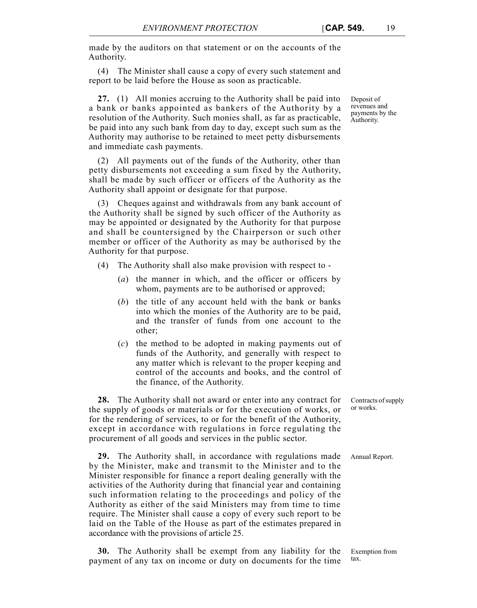made by the auditors on that statement or on the accounts of the Authority.

(4) The Minister shall cause a copy of every such statement and report to be laid before the House as soon as practicable.

**27.** (1) All monies accruing to the Authority shall be paid into a bank or banks appointed as bankers of the Authority by a resolution of the Authority. Such monies shall, as far as practicable, be paid into any such bank from day to day, except such sum as the Authority may authorise to be retained to meet petty disbursements and immediate cash payments.

(2) All payments out of the funds of the Authority, other than petty disbursements not exceeding a sum fixed by the Authority, shall be made by such officer or officers of the Authority as the Authority shall appoint or designate for that purpose.

(3) Cheques against and withdrawals from any bank account of the Authority shall be signed by such officer of the Authority as may be appointed or designated by the Authority for that purpose and shall be countersigned by the Chairperson or such other member or officer of the Authority as may be authorised by the Authority for that purpose.

- (4) The Authority shall also make provision with respect to
	- (*a*) the manner in which, and the officer or officers by whom, payments are to be authorised or approved;
	- (*b*) the title of any account held with the bank or banks into which the monies of the Authority are to be paid, and the transfer of funds from one account to the other;
	- (*c*) the method to be adopted in making payments out of funds of the Authority, and generally with respect to any matter which is relevant to the proper keeping and control of the accounts and books, and the control of the finance, of the Authority.

**28.** The Authority shall not award or enter into any contract for the supply of goods or materials or for the execution of works, or for the rendering of services, to or for the benefit of the Authority, except in accordance with regulations in force regulating the procurement of all goods and services in the public sector.

**29.** The Authority shall, in accordance with regulations made Annual Report. by the Minister, make and transmit to the Minister and to the Minister responsible for finance a report dealing generally with the activities of the Authority during that financial year and containing such information relating to the proceedings and policy of the Authority as either of the said Ministers may from time to time require. The Minister shall cause a copy of every such report to be laid on the Table of the House as part of the estimates prepared in accordance with the provisions of article 25.

**30.** The Authority shall be exempt from any liability for the payment of any tax on income or duty on documents for the time

payments by the Authority.

Deposit of revenues and

Contracts of supply or works.

Exemption from tax.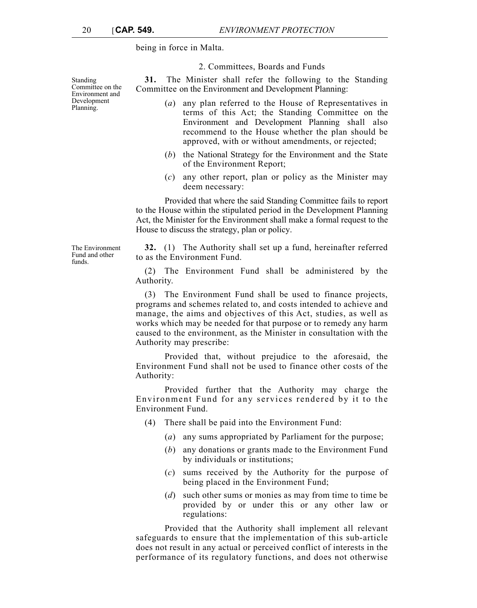Standing Committee on the Environment and Development Planning.

being in force in Malta.

to as the Environment Fund.

Authority may prescribe:

Authority.

Authority:

Environment Fund.

2. Committees, Boards and Funds

**31.** The Minister shall refer the following to the Standing Committee on the Environment and Development Planning:

- (*a*) any plan referred to the House of Representatives in terms of this Act; the Standing Committee on the Environment and Development Planning shall also recommend to the House whether the plan should be approved, with or without amendments, or rejected;
- (*b*) the National Strategy for the Environment and the State of the Environment Report;
- (*c*) any other report, plan or policy as the Minister may deem necessary:

Provided that where the said Standing Committee fails to report to the House within the stipulated period in the Development Planning Act, the Minister for the Environment shall make a formal request to the House to discuss the strategy, plan or policy.

**32.** (1) The Authority shall set up a fund, hereinafter referred

(2) The Environment Fund shall be administered by the

(3) The Environment Fund shall be used to finance projects, programs and schemes related to, and costs intended to achieve and manage, the aims and objectives of this Act, studies, as well as works which may be needed for that purpose or to remedy any harm caused to the environment, as the Minister in consultation with the

Provided that, without prejudice to the aforesaid, the Environment Fund shall not be used to finance other costs of the

Provided further that the Authority may charge the Environment Fund for any services rendered by it to the

> (*a*) any sums appropriated by Parliament for the purpose; (*b*) any donations or grants made to the Environment Fund

> (*c*) sums received by the Authority for the purpose of

(*d*) such other sums or monies as may from time to time be provided by or under this or any other law or

Provided that the Authority shall implement all relevant safeguards to ensure that the implementation of this sub-article does not result in any actual or perceived conflict of interests in the performance of its regulatory functions, and does not otherwise

(4) There shall be paid into the Environment Fund:

by individuals or institutions;

regulations:

being placed in the Environment Fund;

The Environment Fund and other funds.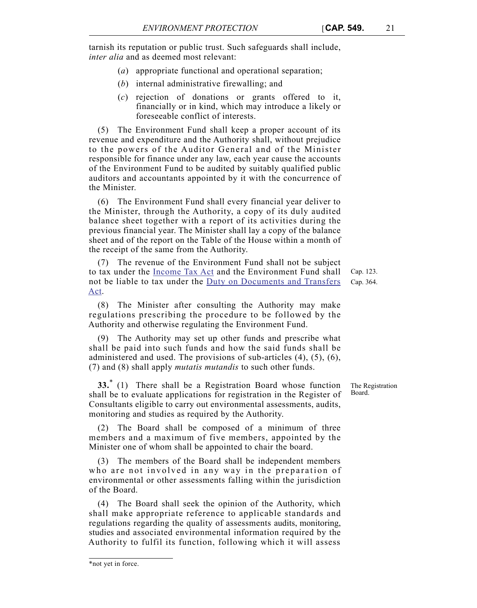tarnish its reputation or public trust. Such safeguards shall include, *inter alia* and as deemed most relevant:

- (*a*) appropriate functional and operational separation;
- (*b*) internal administrative firewalling; and
- (*c*) rejection of donations or grants offered to it, financially or in kind, which may introduce a likely or foreseeable conflict of interests.

(5) The Environment Fund shall keep a proper account of its revenue and expenditure and the Authority shall, without prejudice to the powers of the Auditor General and of the Minister responsible for finance under any law, each year cause the accounts of the Environment Fund to be audited by suitably qualified public auditors and accountants appointed by it with the concurrence of the Minister.

(6) The Environment Fund shall every financial year deliver to the Minister, through the Authority, a copy of its duly audited balance sheet together with a report of its activities during the previous financial year. The Minister shall lay a copy of the balance sheet and of the report on the Table of the House within a month of the receipt of the same from the Authority.

(7) The revenue of the Environment Fund shall not be subject to tax under the Income Tax Act and the Environment Fund shall not be liable to tax under the Duty on Documents and Transfers Act.

(8) The Minister after consulting the Authority may make regulations prescribing the procedure to be followed by the Authority and otherwise regulating the Environment Fund.

(9) The Authority may set up other funds and prescribe what shall be paid into such funds and how the said funds shall be administered and used. The provisions of sub-articles (4), (5), (6), (7) and (8) shall apply *mutatis mutandis* to such other funds.

**33.**\* (1) There shall be a Registration Board whose function shall be to evaluate applications for registration in the Register of Consultants eligible to carry out environmental assessments, audits, monitoring and studies as required by the Authority.

(2) The Board shall be composed of a minimum of three members and a maximum of five members, appointed by the Minister one of whom shall be appointed to chair the board.

(3) The members of the Board shall be independent members who are not involved in any way in the preparation of environmental or other assessments falling within the jurisdiction of the Board.

(4) The Board shall seek the opinion of the Authority, which shall make appropriate reference to applicable standards and regulations regarding the quality of assessments audits, monitoring, studies and associated environmental information required by the Authority to fulfil its function, following which it will assess

Cap. 123. Cap. 364.

The Registration Board.

<sup>\*</sup>not yet in force.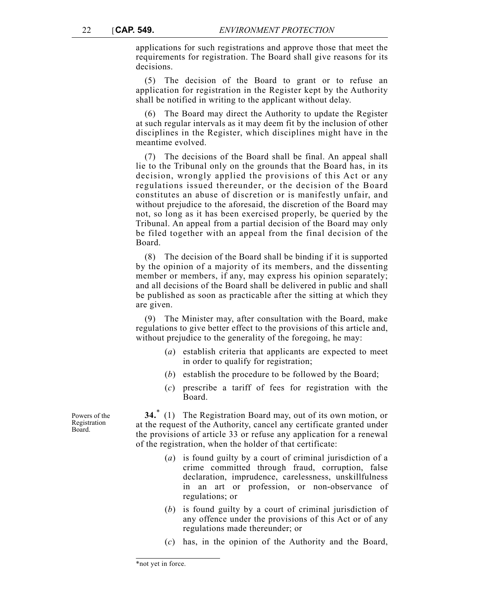applications for such registrations and approve those that meet the requirements for registration. The Board shall give reasons for its decisions.

(5) The decision of the Board to grant or to refuse an application for registration in the Register kept by the Authority shall be notified in writing to the applicant without delay.

(6) The Board may direct the Authority to update the Register at such regular intervals as it may deem fit by the inclusion of other disciplines in the Register, which disciplines might have in the meantime evolved.

(7) The decisions of the Board shall be final. An appeal shall lie to the Tribunal only on the grounds that the Board has, in its decision, wrongly applied the provisions of this Act or any regulations issued thereunder, or the decision of the Board constitutes an abuse of discretion or is manifestly unfair, and without prejudice to the aforesaid, the discretion of the Board may not, so long as it has been exercised properly, be queried by the Tribunal. An appeal from a partial decision of the Board may only be filed together with an appeal from the final decision of the Board.

(8) The decision of the Board shall be binding if it is supported by the opinion of a majority of its members, and the dissenting member or members, if any, may express his opinion separately; and all decisions of the Board shall be delivered in public and shall be published as soon as practicable after the sitting at which they are given.

(9) The Minister may, after consultation with the Board, make regulations to give better effect to the provisions of this article and, without prejudice to the generality of the foregoing, he may:

- (*a*) establish criteria that applicants are expected to meet in order to qualify for registration;
- (*b*) establish the procedure to be followed by the Board;
- (*c*) prescribe a tariff of fees for registration with the Board.

**34.**\* (1) The Registration Board may, out of its own motion, or at the request of the Authority, cancel any certificate granted under the provisions of article 33 or refuse any application for a renewal of the registration, when the holder of that certificate:

- (*a*) is found guilty by a court of criminal jurisdiction of a crime committed through fraud, corruption, false declaration, imprudence, carelessness, unskillfulness in an art or profession, or non-observance of regulations; or
- (*b*) is found guilty by a court of criminal jurisdiction of any offence under the provisions of this Act or of any regulations made thereunder; or
- (*c*) has, in the opinion of the Authority and the Board,

Powers of the Registration Board.

<sup>\*</sup>not yet in force.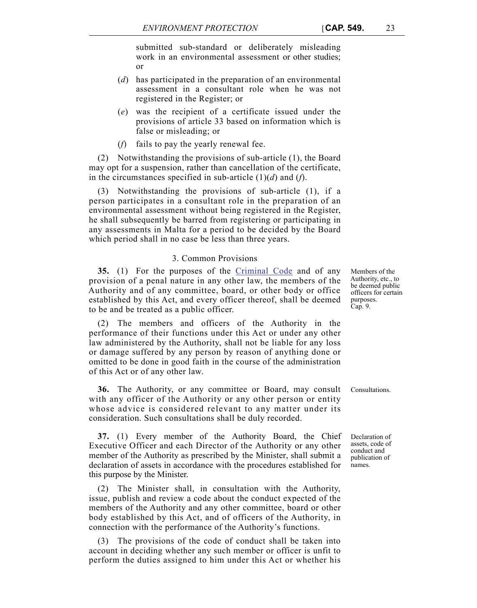submitted sub-standard or deliberately misleading work in an environmental assessment or other studies; or

- (*d*) has participated in the preparation of an environmental assessment in a consultant role when he was not registered in the Register; or
- (*e*) was the recipient of a certificate issued under the provisions of article 33 based on information which is false or misleading; or
- (*f*) fails to pay the yearly renewal fee.

(2) Notwithstanding the provisions of sub-article (1), the Board may opt for a suspension, rather than cancellation of the certificate, in the circumstances specified in sub-article (1)(*d*) and (*f*).

(3) Notwithstanding the provisions of sub-article (1), if a person participates in a consultant role in the preparation of an environmental assessment without being registered in the Register, he shall subsequently be barred from registering or participating in any assessments in Malta for a period to be decided by the Board which period shall in no case be less than three years.

## 3. Common Provisions

**35.** (1) For the purposes of the Criminal Code and of any provision of a penal nature in any other law, the members of the Authority and of any committee, board, or other body or office established by this Act, and every officer thereof, shall be deemed to be and be treated as a public officer.

(2) The members and officers of the Authority in the performance of their functions under this Act or under any other law administered by the Authority, shall not be liable for any loss or damage suffered by any person by reason of anything done or omitted to be done in good faith in the course of the administration of this Act or of any other law.

**36.** The Authority, or any committee or Board, may consult Consultations. with any officer of the Authority or any other person or entity whose advice is considered relevant to any matter under its consideration. Such consultations shall be duly recorded.

**37.** (1) Every member of the Authority Board, the Chief Executive Officer and each Director of the Authority or any other member of the Authority as prescribed by the Minister, shall submit a declaration of assets in accordance with the procedures established for this purpose by the Minister.

(2) The Minister shall, in consultation with the Authority, issue, publish and review a code about the conduct expected of the members of the Authority and any other committee, board or other body established by this Act, and of officers of the Authority, in connection with the performance of the Authority's functions.

(3) The provisions of the code of conduct shall be taken into account in deciding whether any such member or officer is unfit to perform the duties assigned to him under this Act or whether his Members of the Authority, etc., to be deemed public officers for certain purposes. Cap. 9.

Declaration of assets, code of conduct and publication of names.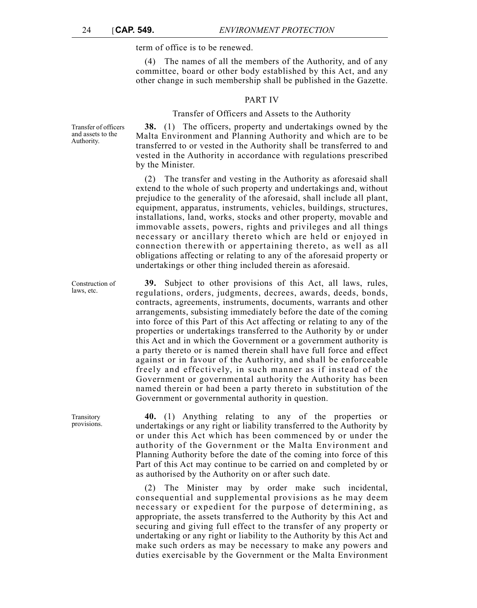term of office is to be renewed.

(4) The names of all the members of the Authority, and of any committee, board or other body established by this Act, and any other change in such membership shall be published in the Gazette.

#### PART IV

## Transfer of Officers and Assets to the Authority

**38.** (1) The officers, property and undertakings owned by the Malta Environment and Planning Authority and which are to be transferred to or vested in the Authority shall be transferred to and vested in the Authority in accordance with regulations prescribed by the Minister.

(2) The transfer and vesting in the Authority as aforesaid shall extend to the whole of such property and undertakings and, without prejudice to the generality of the aforesaid, shall include all plant, equipment, apparatus, instruments, vehicles, buildings, structures, installations, land, works, stocks and other property, movable and immovable assets, powers, rights and privileges and all things necessary or ancillary thereto which are held or enjoyed in connection therewith or appertaining thereto, as well as all obligations affecting or relating to any of the aforesaid property or undertakings or other thing included therein as aforesaid.

**39.** Subject to other provisions of this Act, all laws, rules, regulations, orders, judgments, decrees, awards, deeds, bonds, contracts, agreements, instruments, documents, warrants and other arrangements, subsisting immediately before the date of the coming into force of this Part of this Act affecting or relating to any of the properties or undertakings transferred to the Authority by or under this Act and in which the Government or a government authority is a party thereto or is named therein shall have full force and effect against or in favour of the Authority, and shall be enforceable freely and effectively, in such manner as if instead of the Government or governmental authority the Authority has been named therein or had been a party thereto in substitution of the Government or governmental authority in question.

**40.** (1) Anything relating to any of the properties or undertakings or any right or liability transferred to the Authority by or under this Act which has been commenced by or under the authority of the Government or the Malta Environment and Planning Authority before the date of the coming into force of this Part of this Act may continue to be carried on and completed by or as authorised by the Authority on or after such date.

(2) The Minister may by order make such incidental, consequential and supplemental provisions as he may deem necessary or expedient for the purpose of determining, as appropriate, the assets transferred to the Authority by this Act and securing and giving full effect to the transfer of any property or undertaking or any right or liability to the Authority by this Act and make such orders as may be necessary to make any powers and duties exercisable by the Government or the Malta Environment

Transfer of officers and assets to the Authority.

Construction of laws, etc.

Transitory provisions.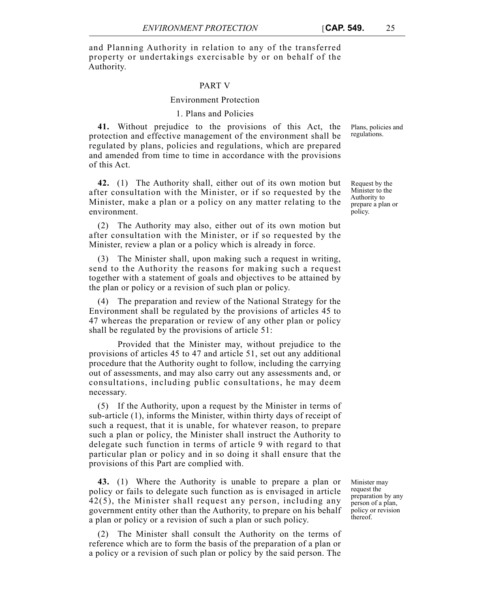and Planning Authority in relation to any of the transferred property or undertakings exercisable by or on behalf of the Authority.

#### PART V

#### Environment Protection

## 1. Plans and Policies

**41.** Without prejudice to the provisions of this Act, the protection and effective management of the environment shall be regulated by plans, policies and regulations, which are prepared and amended from time to time in accordance with the provisions of this Act.

**42.** (1) The Authority shall, either out of its own motion but after consultation with the Minister, or if so requested by the Minister, make a plan or a policy on any matter relating to the environment.

(2) The Authority may also, either out of its own motion but after consultation with the Minister, or if so requested by the Minister, review a plan or a policy which is already in force.

(3) The Minister shall, upon making such a request in writing, send to the Authority the reasons for making such a request together with a statement of goals and objectives to be attained by the plan or policy or a revision of such plan or policy.

(4) The preparation and review of the National Strategy for the Environment shall be regulated by the provisions of articles 45 to 47 whereas the preparation or review of any other plan or policy shall be regulated by the provisions of article 51:

Provided that the Minister may, without prejudice to the provisions of articles 45 to 47 and article 51, set out any additional procedure that the Authority ought to follow, including the carrying out of assessments, and may also carry out any assessments and, or consultations, including public consultations, he may deem necessary.

(5) If the Authority, upon a request by the Minister in terms of sub-article (1), informs the Minister, within thirty days of receipt of such a request, that it is unable, for whatever reason, to prepare such a plan or policy, the Minister shall instruct the Authority to delegate such function in terms of article 9 with regard to that particular plan or policy and in so doing it shall ensure that the provisions of this Part are complied with.

**43.** (1) Where the Authority is unable to prepare a plan or policy or fails to delegate such function as is envisaged in article 42(5), the Minister shall request any person, including any government entity other than the Authority, to prepare on his behalf a plan or policy or a revision of such a plan or such policy.

(2) The Minister shall consult the Authority on the terms of reference which are to form the basis of the preparation of a plan or a policy or a revision of such plan or policy by the said person. The

Minister may request the preparation by any person of a plan, policy or revision thereof.

Request by the Minister to the Authority to prepare a plan or

policy.

Plans, policies and

regulations.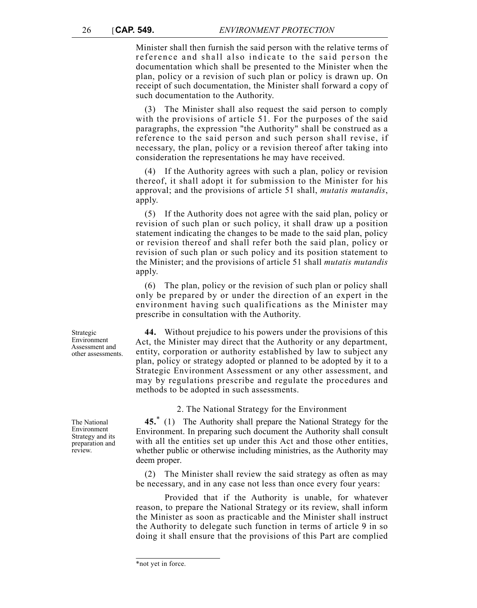Minister shall then furnish the said person with the relative terms of reference and shall also indicate to the said person the documentation which shall be presented to the Minister when the plan, policy or a revision of such plan or policy is drawn up. On receipt of such documentation, the Minister shall forward a copy of such documentation to the Authority.

(3) The Minister shall also request the said person to comply with the provisions of article 51. For the purposes of the said paragraphs, the expression "the Authority" shall be construed as a reference to the said person and such person shall revise, if necessary, the plan, policy or a revision thereof after taking into consideration the representations he may have received.

(4) If the Authority agrees with such a plan, policy or revision thereof, it shall adopt it for submission to the Minister for his approval; and the provisions of article 51 shall, *mutatis mutandis*, apply.

(5) If the Authority does not agree with the said plan, policy or revision of such plan or such policy, it shall draw up a position statement indicating the changes to be made to the said plan, policy or revision thereof and shall refer both the said plan, policy or revision of such plan or such policy and its position statement to the Minister; and the provisions of article 51 shall *mutatis mutandis* apply.

(6) The plan, policy or the revision of such plan or policy shall only be prepared by or under the direction of an expert in the environment having such qualifications as the Minister may prescribe in consultation with the Authority.

**44.** Without prejudice to his powers under the provisions of this Act, the Minister may direct that the Authority or any department, entity, corporation or authority established by law to subject any plan, policy or strategy adopted or planned to be adopted by it to a Strategic Environment Assessment or any other assessment, and may by regulations prescribe and regulate the procedures and methods to be adopted in such assessments.

2. The National Strategy for the Environment

**45.**\* (1) The Authority shall prepare the National Strategy for the Environment. In preparing such document the Authority shall consult with all the entities set up under this Act and those other entities, whether public or otherwise including ministries, as the Authority may deem proper.

(2) The Minister shall review the said strategy as often as may be necessary, and in any case not less than once every four years:

Provided that if the Authority is unable, for whatever reason, to prepare the National Strategy or its review, shall inform the Minister as soon as practicable and the Minister shall instruct the Authority to delegate such function in terms of article 9 in so doing it shall ensure that the provisions of this Part are complied

Strategic Environment Assessment and other assessments.

The National Environment Strategy and its preparation and review.

<sup>\*</sup>not yet in force.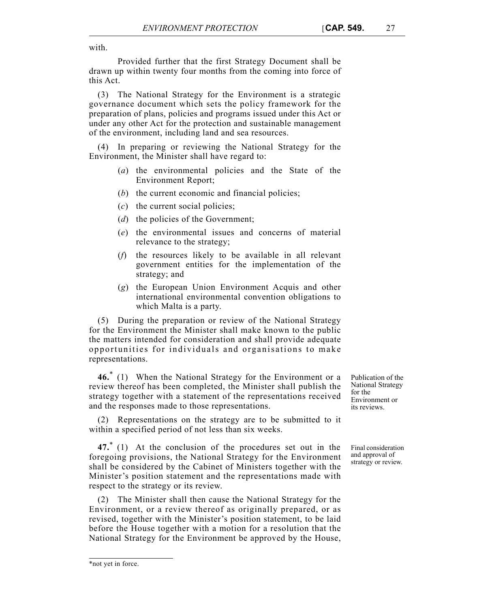with.

Provided further that the first Strategy Document shall be drawn up within twenty four months from the coming into force of this Act.

(3) The National Strategy for the Environment is a strategic governance document which sets the policy framework for the preparation of plans, policies and programs issued under this Act or under any other Act for the protection and sustainable management of the environment, including land and sea resources.

(4) In preparing or reviewing the National Strategy for the Environment, the Minister shall have regard to:

- (*a*) the environmental policies and the State of the Environment Report;
- (*b*) the current economic and financial policies;
- (*c*) the current social policies;
- (*d*) the policies of the Government;
- (*e*) the environmental issues and concerns of material relevance to the strategy;
- (*f*) the resources likely to be available in all relevant government entities for the implementation of the strategy; and
- (*g*) the European Union Environment Acquis and other international environmental convention obligations to which Malta is a party.

(5) During the preparation or review of the National Strategy for the Environment the Minister shall make known to the public the matters intended for consideration and shall provide adequate opportunities for individuals and organisations to make representations.

**46.**\* (1) When the National Strategy for the Environment or a review thereof has been completed, the Minister shall publish the strategy together with a statement of the representations received and the responses made to those representations.

(2) Representations on the strategy are to be submitted to it within a specified period of not less than six weeks.

**47.**\* (1) At the conclusion of the procedures set out in the foregoing provisions, the National Strategy for the Environment shall be considered by the Cabinet of Ministers together with the Minister's position statement and the representations made with respect to the strategy or its review.

(2) The Minister shall then cause the National Strategy for the Environment, or a review thereof as originally prepared, or as revised, together with the Minister's position statement, to be laid before the House together with a motion for a resolution that the National Strategy for the Environment be approved by the House,

Publication of the National Strategy for the Environment or its reviews.

Final consideration and approval of strategy or review.

<sup>\*</sup>not yet in force.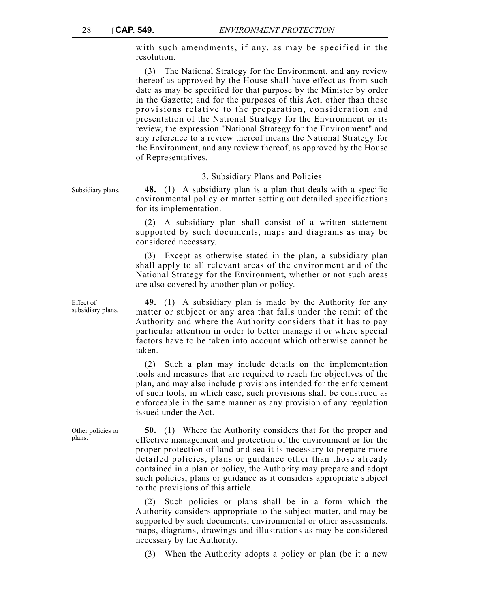with such amendments, if any, as may be specified in the resolution.

(3) The National Strategy for the Environment, and any review thereof as approved by the House shall have effect as from such date as may be specified for that purpose by the Minister by order in the Gazette; and for the purposes of this Act, other than those provisions relative to the preparation, consideration and presentation of the National Strategy for the Environment or its review, the expression "National Strategy for the Environment" and any reference to a review thereof means the National Strategy for the Environment, and any review thereof, as approved by the House of Representatives.

#### 3. Subsidiary Plans and Policies

Subsidiary plans. **48.** (1) A subsidiary plan is a plan that deals with a specific environmental policy or matter setting out detailed specifications for its implementation.

> (2) A subsidiary plan shall consist of a written statement supported by such documents, maps and diagrams as may be considered necessary.

> (3) Except as otherwise stated in the plan, a subsidiary plan shall apply to all relevant areas of the environment and of the National Strategy for the Environment, whether or not such areas are also covered by another plan or policy.

> **49.** (1) A subsidiary plan is made by the Authority for any matter or subject or any area that falls under the remit of the Authority and where the Authority considers that it has to pay particular attention in order to better manage it or where special factors have to be taken into account which otherwise cannot be taken.

> (2) Such a plan may include details on the implementation tools and measures that are required to reach the objectives of the plan, and may also include provisions intended for the enforcement of such tools, in which case, such provisions shall be construed as enforceable in the same manner as any provision of any regulation issued under the Act.

> **50.** (1) Where the Authority considers that for the proper and effective management and protection of the environment or for the proper protection of land and sea it is necessary to prepare more detailed policies, plans or guidance other than those already contained in a plan or policy, the Authority may prepare and adopt such policies, plans or guidance as it considers appropriate subject to the provisions of this article.

> (2) Such policies or plans shall be in a form which the Authority considers appropriate to the subject matter, and may be supported by such documents, environmental or other assessments, maps, diagrams, drawings and illustrations as may be considered necessary by the Authority.

(3) When the Authority adopts a policy or plan (be it a new

Effect of subsidiary plans.

Other policies or plans.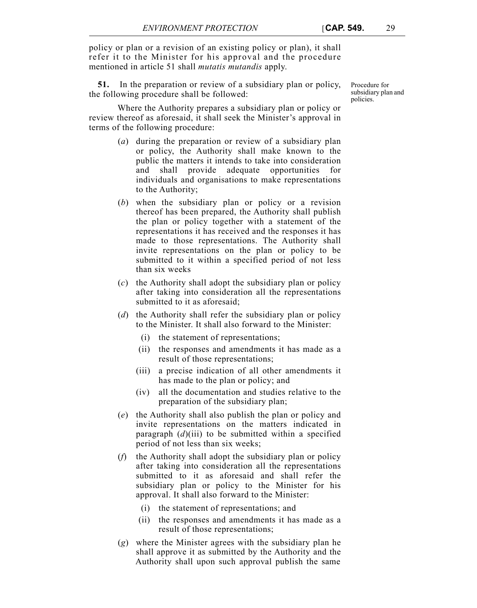policy or plan or a revision of an existing policy or plan), it shall refer it to the Minister for his approval and the procedure mentioned in article 51 shall *mutatis mutandis* apply.

**51.** In the preparation or review of a subsidiary plan or policy, the following procedure shall be followed:

Where the Authority prepares a subsidiary plan or policy or review thereof as aforesaid, it shall seek the Minister's approval in terms of the following procedure:

- (*a*) during the preparation or review of a subsidiary plan or policy, the Authority shall make known to the public the matters it intends to take into consideration and shall provide adequate opportunities for individuals and organisations to make representations to the Authority;
- (*b*) when the subsidiary plan or policy or a revision thereof has been prepared, the Authority shall publish the plan or policy together with a statement of the representations it has received and the responses it has made to those representations. The Authority shall invite representations on the plan or policy to be submitted to it within a specified period of not less than six weeks
- (*c*) the Authority shall adopt the subsidiary plan or policy after taking into consideration all the representations submitted to it as aforesaid;
- (*d*) the Authority shall refer the subsidiary plan or policy to the Minister. It shall also forward to the Minister:
	- (i) the statement of representations;
	- (ii) the responses and amendments it has made as a result of those representations;
	- (iii) a precise indication of all other amendments it has made to the plan or policy; and
	- (iv) all the documentation and studies relative to the preparation of the subsidiary plan;
- (*e*) the Authority shall also publish the plan or policy and invite representations on the matters indicated in paragraph (*d*)(iii) to be submitted within a specified period of not less than six weeks;
- (*f*) the Authority shall adopt the subsidiary plan or policy after taking into consideration all the representations submitted to it as aforesaid and shall refer the subsidiary plan or policy to the Minister for his approval. It shall also forward to the Minister:
	- (i) the statement of representations; and
	- (ii) the responses and amendments it has made as a result of those representations;
- (*g*) where the Minister agrees with the subsidiary plan he shall approve it as submitted by the Authority and the Authority shall upon such approval publish the same

Procedure for subsidiary plan and policies.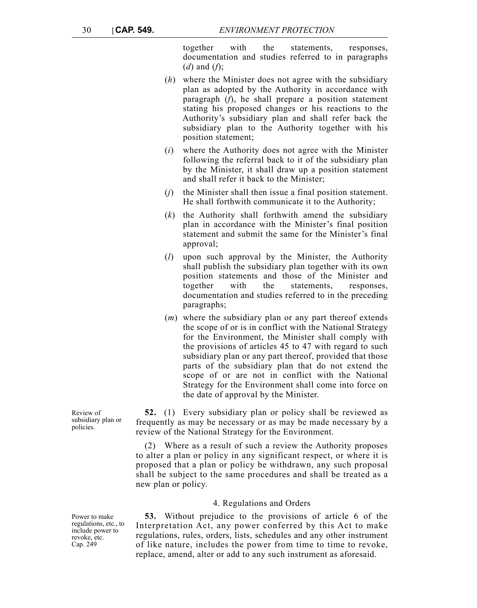together with the statements, responses, documentation and studies referred to in paragraphs (*d*) and (*f*);

- (*h*) where the Minister does not agree with the subsidiary plan as adopted by the Authority in accordance with paragraph (*f*), he shall prepare a position statement stating his proposed changes or his reactions to the Authority's subsidiary plan and shall refer back the subsidiary plan to the Authority together with his position statement;
- (*i*) where the Authority does not agree with the Minister following the referral back to it of the subsidiary plan by the Minister, it shall draw up a position statement and shall refer it back to the Minister;
- (*j*) the Minister shall then issue a final position statement. He shall forthwith communicate it to the Authority;
- (*k*) the Authority shall forthwith amend the subsidiary plan in accordance with the Minister's final position statement and submit the same for the Minister's final approval;
- (*l*) upon such approval by the Minister, the Authority shall publish the subsidiary plan together with its own position statements and those of the Minister and together with the statements, responses, documentation and studies referred to in the preceding paragraphs;
- (*m*) where the subsidiary plan or any part thereof extends the scope of or is in conflict with the National Strategy for the Environment, the Minister shall comply with the provisions of articles 45 to 47 with regard to such subsidiary plan or any part thereof, provided that those parts of the subsidiary plan that do not extend the scope of or are not in conflict with the National Strategy for the Environment shall come into force on the date of approval by the Minister.

**52.** (1) Every subsidiary plan or policy shall be reviewed as frequently as may be necessary or as may be made necessary by a review of the National Strategy for the Environment.

(2) Where as a result of such a review the Authority proposes to alter a plan or policy in any significant respect, or where it is proposed that a plan or policy be withdrawn, any such proposal shall be subject to the same procedures and shall be treated as a new plan or policy.

#### 4. Regulations and Orders

**53.** Without prejudice to the provisions of article 6 of the Interpretation Act, any power conferred by this Act to make regulations, rules, orders, lists, schedules and any other instrument of like nature, includes the power from time to time to revoke, replace, amend, alter or add to any such instrument as aforesaid.

Review of subsidiary plan or policies.

Power to make regulations, etc., to include power to revoke, etc. Cap. 249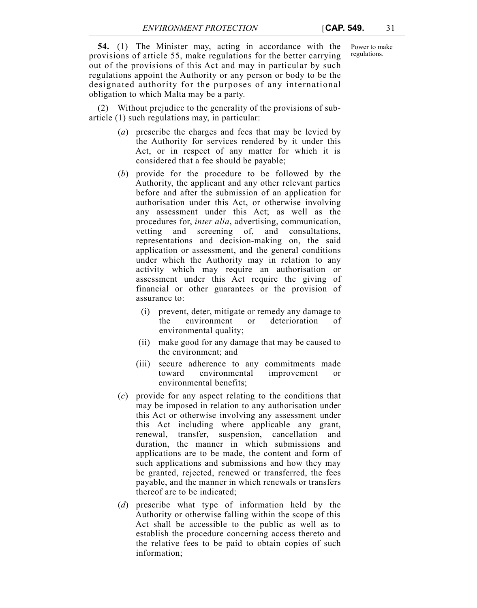**54.** (1) The Minister may, acting in accordance with the provisions of article 55, make regulations for the better carrying out of the provisions of this Act and may in particular by such regulations appoint the Authority or any person or body to be the designated authority for the purposes of any international obligation to which Malta may be a party.

(2) Without prejudice to the generality of the provisions of subarticle (1) such regulations may, in particular:

- (*a*) prescribe the charges and fees that may be levied by the Authority for services rendered by it under this Act, or in respect of any matter for which it is considered that a fee should be payable;
- (*b*) provide for the procedure to be followed by the Authority, the applicant and any other relevant parties before and after the submission of an application for authorisation under this Act, or otherwise involving any assessment under this Act; as well as the procedures for, *inter alia*, advertising, communication, vetting and screening of, and consultations, representations and decision-making on, the said application or assessment, and the general conditions under which the Authority may in relation to any activity which may require an authorisation or assessment under this Act require the giving of financial or other guarantees or the provision of assurance to:
	- (i) prevent, deter, mitigate or remedy any damage to the environment or deterioration of environmental quality;
	- (ii) make good for any damage that may be caused to the environment; and
	- (iii) secure adherence to any commitments made toward environmental improvement or environmental benefits;
- (*c*) provide for any aspect relating to the conditions that may be imposed in relation to any authorisation under this Act or otherwise involving any assessment under this Act including where applicable any grant, renewal, transfer, suspension, cancellation and duration, the manner in which submissions and applications are to be made, the content and form of such applications and submissions and how they may be granted, rejected, renewed or transferred, the fees payable, and the manner in which renewals or transfers thereof are to be indicated;
- (*d*) prescribe what type of information held by the Authority or otherwise falling within the scope of this Act shall be accessible to the public as well as to establish the procedure concerning access thereto and the relative fees to be paid to obtain copies of such information;

Power to make regulations.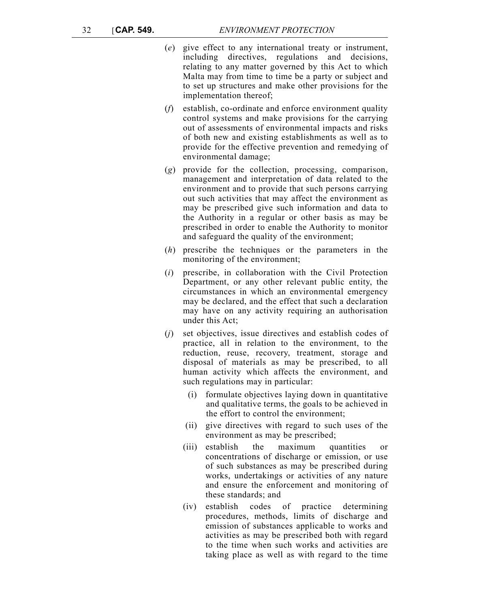- (*e*) give effect to any international treaty or instrument, including directives, regulations and decisions, relating to any matter governed by this Act to which Malta may from time to time be a party or subject and to set up structures and make other provisions for the implementation thereof;
- (*f*) establish, co-ordinate and enforce environment quality control systems and make provisions for the carrying out of assessments of environmental impacts and risks of both new and existing establishments as well as to provide for the effective prevention and remedying of environmental damage;
- (*g*) provide for the collection, processing, comparison, management and interpretation of data related to the environment and to provide that such persons carrying out such activities that may affect the environment as may be prescribed give such information and data to the Authority in a regular or other basis as may be prescribed in order to enable the Authority to monitor and safeguard the quality of the environment;
- (*h*) prescribe the techniques or the parameters in the monitoring of the environment;
- (*i*) prescribe, in collaboration with the Civil Protection Department, or any other relevant public entity, the circumstances in which an environmental emergency may be declared, and the effect that such a declaration may have on any activity requiring an authorisation under this Act;
- (*j*) set objectives, issue directives and establish codes of practice, all in relation to the environment, to the reduction, reuse, recovery, treatment, storage and disposal of materials as may be prescribed, to all human activity which affects the environment, and such regulations may in particular:
	- (i) formulate objectives laying down in quantitative and qualitative terms, the goals to be achieved in the effort to control the environment;
	- (ii) give directives with regard to such uses of the environment as may be prescribed;
	- (iii) establish the maximum quantities or concentrations of discharge or emission, or use of such substances as may be prescribed during works, undertakings or activities of any nature and ensure the enforcement and monitoring of these standards; and
	- (iv) establish codes of practice determining procedures, methods, limits of discharge and emission of substances applicable to works and activities as may be prescribed both with regard to the time when such works and activities are taking place as well as with regard to the time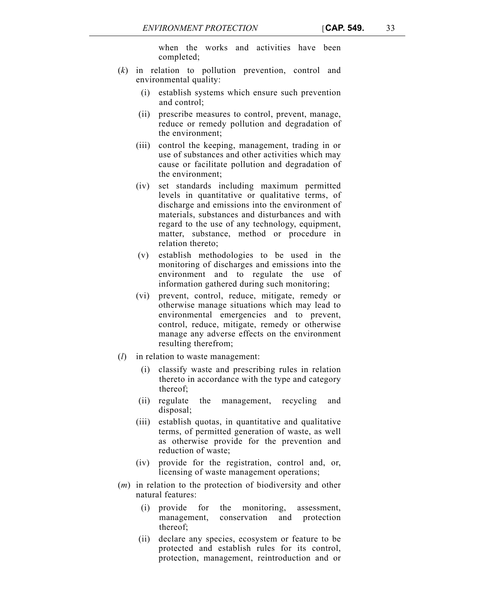when the works and activities have been completed;

- (*k*) in relation to pollution prevention, control and environmental quality:
	- (i) establish systems which ensure such prevention and control;
	- (ii) prescribe measures to control, prevent, manage, reduce or remedy pollution and degradation of the environment;
	- (iii) control the keeping, management, trading in or use of substances and other activities which may cause or facilitate pollution and degradation of the environment;
	- (iv) set standards including maximum permitted levels in quantitative or qualitative terms, of discharge and emissions into the environment of materials, substances and disturbances and with regard to the use of any technology, equipment, matter, substance, method or procedure in relation thereto;
	- (v) establish methodologies to be used in the monitoring of discharges and emissions into the environment and to regulate the use of information gathered during such monitoring;
	- (vi) prevent, control, reduce, mitigate, remedy or otherwise manage situations which may lead to environmental emergencies and to prevent, control, reduce, mitigate, remedy or otherwise manage any adverse effects on the environment resulting therefrom;
- (*l*) in relation to waste management:
	- (i) classify waste and prescribing rules in relation thereto in accordance with the type and category thereof;
	- (ii) regulate the management, recycling and disposal;
	- (iii) establish quotas, in quantitative and qualitative terms, of permitted generation of waste, as well as otherwise provide for the prevention and reduction of waste;
	- (iv) provide for the registration, control and, or, licensing of waste management operations;
- (*m*) in relation to the protection of biodiversity and other natural features:
	- (i) provide for the monitoring, assessment, management, conservation and protection thereof;
	- (ii) declare any species, ecosystem or feature to be protected and establish rules for its control, protection, management, reintroduction and or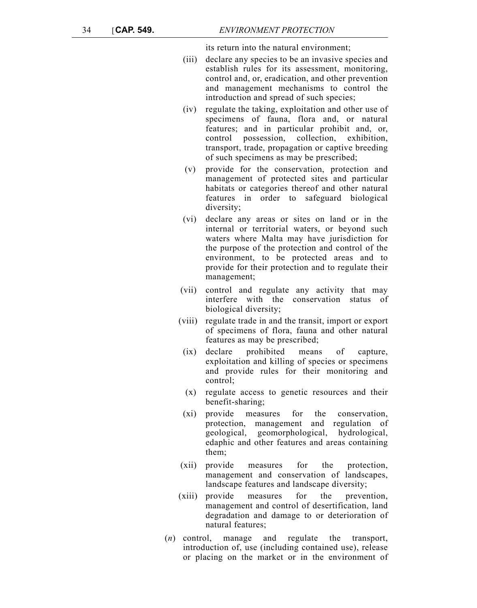its return into the natural environment;

- (iii) declare any species to be an invasive species and establish rules for its assessment, monitoring, control and, or, eradication, and other prevention and management mechanisms to control the introduction and spread of such species;
- (iv) regulate the taking, exploitation and other use of specimens of fauna, flora and, or natural features; and in particular prohibit and, or, control possession, collection, exhibition, transport, trade, propagation or captive breeding of such specimens as may be prescribed;
- (v) provide for the conservation, protection and management of protected sites and particular habitats or categories thereof and other natural features in order to safeguard biological diversity;
- (vi) declare any areas or sites on land or in the internal or territorial waters, or beyond such waters where Malta may have jurisdiction for the purpose of the protection and control of the environment, to be protected areas and to provide for their protection and to regulate their management;
- (vii) control and regulate any activity that may interfere with the conservation status of biological diversity;
- (viii) regulate trade in and the transit, import or export of specimens of flora, fauna and other natural features as may be prescribed;
- (ix) declare prohibited means of capture, exploitation and killing of species or specimens and provide rules for their monitoring and control;
- (x) regulate access to genetic resources and their benefit-sharing;
- (xi) provide measures for the conservation, protection, management and regulation of geological, geomorphological, hydrological, edaphic and other features and areas containing them;
- (xii) provide measures for the protection, management and conservation of landscapes, landscape features and landscape diversity;
- (xiii) provide measures for the prevention, management and control of desertification, land degradation and damage to or deterioration of natural features;
- (*n*) control, manage and regulate the transport, introduction of, use (including contained use), release or placing on the market or in the environment of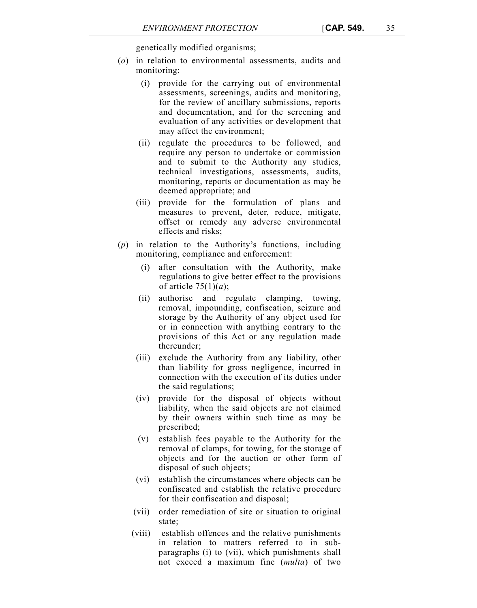genetically modified organisms;

- (*o*) in relation to environmental assessments, audits and monitoring:
	- (i) provide for the carrying out of environmental assessments, screenings, audits and monitoring, for the review of ancillary submissions, reports and documentation, and for the screening and evaluation of any activities or development that may affect the environment;
	- (ii) regulate the procedures to be followed, and require any person to undertake or commission and to submit to the Authority any studies, technical investigations, assessments, audits, monitoring, reports or documentation as may be deemed appropriate; and
	- (iii) provide for the formulation of plans and measures to prevent, deter, reduce, mitigate, offset or remedy any adverse environmental effects and risks;
- (*p*) in relation to the Authority's functions, including monitoring, compliance and enforcement:
	- (i) after consultation with the Authority, make regulations to give better effect to the provisions of article 75(1)(*a*);
	- (ii) authorise and regulate clamping, towing, removal, impounding, confiscation, seizure and storage by the Authority of any object used for or in connection with anything contrary to the provisions of this Act or any regulation made thereunder;
	- (iii) exclude the Authority from any liability, other than liability for gross negligence, incurred in connection with the execution of its duties under the said regulations;
	- (iv) provide for the disposal of objects without liability, when the said objects are not claimed by their owners within such time as may be prescribed;
	- (v) establish fees payable to the Authority for the removal of clamps, for towing, for the storage of objects and for the auction or other form of disposal of such objects;
	- (vi) establish the circumstances where objects can be confiscated and establish the relative procedure for their confiscation and disposal;
	- (vii) order remediation of site or situation to original state;
	- (viii) establish offences and the relative punishments in relation to matters referred to in subparagraphs (i) to (vii), which punishments shall not exceed a maximum fine (*multa*) of two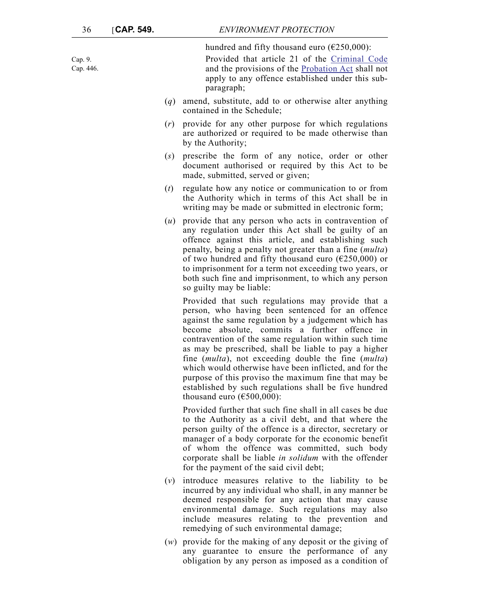hundred and fifty thousand euro  $(\text{\textsterling}250,\!000)$ :

Provided that article 21 of the Criminal Code and the provisions of the Probation Act shall not apply to any offence established under this subparagraph;

- (*q*) amend, substitute, add to or otherwise alter anything contained in the Schedule;
- (*r*) provide for any other purpose for which regulations are authorized or required to be made otherwise than by the Authority;
- (*s*) prescribe the form of any notice, order or other document authorised or required by this Act to be made, submitted, served or given;
- (*t*) regulate how any notice or communication to or from the Authority which in terms of this Act shall be in writing may be made or submitted in electronic form;
- (*u*) provide that any person who acts in contravention of any regulation under this Act shall be guilty of an offence against this article, and establishing such penalty, being a penalty not greater than a fine (*multa*) of two hundred and fifty thousand euro ( $\epsilon$ 250,000) or to imprisonment for a term not exceeding two years, or both such fine and imprisonment, to which any person so guilty may be liable:

Provided that such regulations may provide that a person, who having been sentenced for an offence against the same regulation by a judgement which has become absolute, commits a further offence in contravention of the same regulation within such time as may be prescribed, shall be liable to pay a higher fine (*multa*), not exceeding double the fine (*multa*) which would otherwise have been inflicted, and for the purpose of this proviso the maximum fine that may be established by such regulations shall be five hundred thousand euro ( $€500,000$ ):

Provided further that such fine shall in all cases be due to the Authority as a civil debt, and that where the person guilty of the offence is a director, secretary or manager of a body corporate for the economic benefit of whom the offence was committed, such body corporate shall be liable *in solidum* with the offender for the payment of the said civil debt;

- (*v*) introduce measures relative to the liability to be incurred by any individual who shall, in any manner be deemed responsible for any action that may cause environmental damage. Such regulations may also include measures relating to the prevention and remedying of such environmental damage;
- (*w*) provide for the making of any deposit or the giving of any guarantee to ensure the performance of any obligation by any person as imposed as a condition of

Cap. 9. Cap. 446.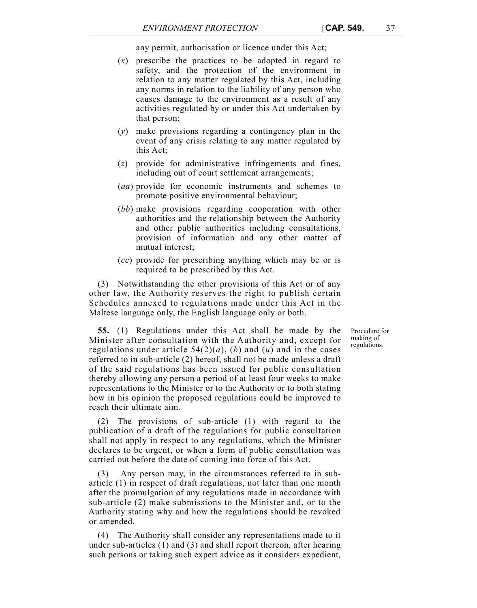any permit, authorisation or licence under this Act;

- (*x*) prescribe the practices to be adopted in regard to safety, and the protection of the environment in relation to any matter regulated by this Act, including any norms in relation to the liability of any person who causes damage to the environment as a result of any activities regulated by or under this Act undertaken by that person;
- (*y*) make provisions regarding a contingency plan in the event of any crisis relating to any matter regulated by this Act;
- (*z*) provide for administrative infringements and fines, including out of court settlement arrangements;
- (*aa*) provide for economic instruments and schemes to promote positive environmental behaviour;
- (*bb*) make provisions regarding cooperation with other authorities and the relationship between the Authority and other public authorities including consultations, provision of information and any other matter of mutual interest;
- (*cc*) provide for prescribing anything which may be or is required to be prescribed by this Act.

(3) Notwithstanding the other provisions of this Act or of any other law, the Authority reserves the right to publish certain Schedules annexed to regulations made under this Act in the Maltese language only, the English language only or both.

> Procedure for making of regulations.

**55.** (1) Regulations under this Act shall be made by the Minister after consultation with the Authority and, except for regulations under article  $54(2)(a)$ , (*b*) and (*u*) and in the cases referred to in sub-article (2) hereof, shall not be made unless a draft of the said regulations has been issued for public consultation thereby allowing any person a period of at least four weeks to make representations to the Minister or to the Authority or to both stating how in his opinion the proposed regulations could be improved to reach their ultimate aim.

(2) The provisions of sub-article (1) with regard to the publication of a draft of the regulations for public consultation shall not apply in respect to any regulations, which the Minister declares to be urgent, or when a form of public consultation was carried out before the date of coming into force of this Act.

(3) Any person may, in the circumstances referred to in subarticle (1) in respect of draft regulations, not later than one month after the promulgation of any regulations made in accordance with sub-article (2) make submissions to the Minister and, or to the Authority stating why and how the regulations should be revoked or amended.

(4) The Authority shall consider any representations made to it under sub-articles (1) and (3) and shall report thereon, after hearing such persons or taking such expert advice as it considers expedient,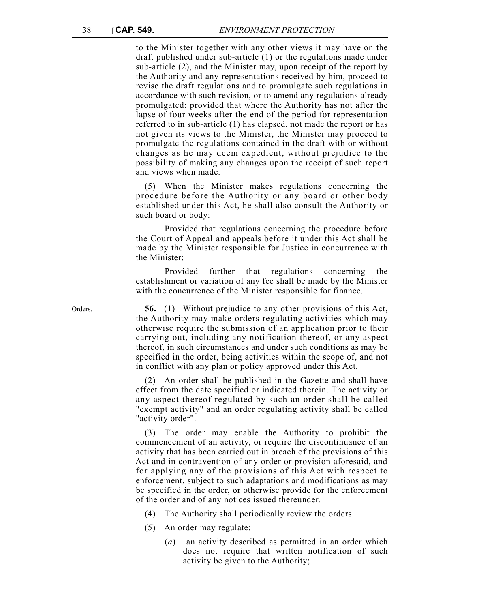to the Minister together with any other views it may have on the draft published under sub-article (1) or the regulations made under sub-article (2), and the Minister may, upon receipt of the report by the Authority and any representations received by him, proceed to revise the draft regulations and to promulgate such regulations in accordance with such revision, or to amend any regulations already promulgated; provided that where the Authority has not after the lapse of four weeks after the end of the period for representation referred to in sub-article (1) has elapsed, not made the report or has not given its views to the Minister, the Minister may proceed to promulgate the regulations contained in the draft with or without changes as he may deem expedient, without prejudice to the possibility of making any changes upon the receipt of such report and views when made.

(5) When the Minister makes regulations concerning the procedure before the Authority or any board or other body established under this Act, he shall also consult the Authority or such board or body:

Provided that regulations concerning the procedure before the Court of Appeal and appeals before it under this Act shall be made by the Minister responsible for Justice in concurrence with the Minister:

Provided further that regulations concerning the establishment or variation of any fee shall be made by the Minister with the concurrence of the Minister responsible for finance.

Orders. **56.** (1) Without prejudice to any other provisions of this Act, the Authority may make orders regulating activities which may otherwise require the submission of an application prior to their carrying out, including any notification thereof, or any aspect thereof, in such circumstances and under such conditions as may be specified in the order, being activities within the scope of, and not in conflict with any plan or policy approved under this Act.

> (2) An order shall be published in the Gazette and shall have effect from the date specified or indicated therein. The activity or any aspect thereof regulated by such an order shall be called "exempt activity" and an order regulating activity shall be called "activity order".

> (3) The order may enable the Authority to prohibit the commencement of an activity, or require the discontinuance of an activity that has been carried out in breach of the provisions of this Act and in contravention of any order or provision aforesaid, and for applying any of the provisions of this Act with respect to enforcement, subject to such adaptations and modifications as may be specified in the order, or otherwise provide for the enforcement of the order and of any notices issued thereunder.

(4) The Authority shall periodically review the orders.

- (5) An order may regulate:
	- (*a*) an activity described as permitted in an order which does not require that written notification of such activity be given to the Authority;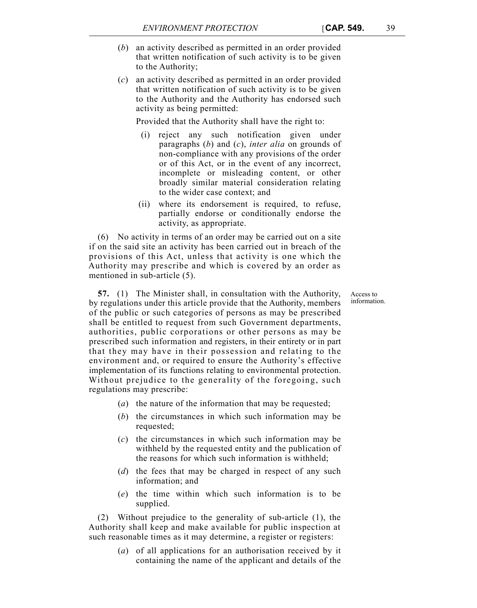- (*b*) an activity described as permitted in an order provided that written notification of such activity is to be given to the Authority;
- (*c*) an activity described as permitted in an order provided that written notification of such activity is to be given to the Authority and the Authority has endorsed such activity as being permitted:

Provided that the Authority shall have the right to:

- (i) reject any such notification given under paragraphs (*b*) and (*c*), *inter alia* on grounds of non-compliance with any provisions of the order or of this Act, or in the event of any incorrect, incomplete or misleading content, or other broadly similar material consideration relating to the wider case context; and
- (ii) where its endorsement is required, to refuse, partially endorse or conditionally endorse the activity, as appropriate.

(6) No activity in terms of an order may be carried out on a site if on the said site an activity has been carried out in breach of the provisions of this Act, unless that activity is one which the Authority may prescribe and which is covered by an order as mentioned in sub-article (5).

> Access to information.

**57.** (1) The Minister shall, in consultation with the Authority, by regulations under this article provide that the Authority, members of the public or such categories of persons as may be prescribed shall be entitled to request from such Government departments, authorities, public corporations or other persons as may be prescribed such information and registers, in their entirety or in part that they may have in their possession and relating to the environment and, or required to ensure the Authority's effective implementation of its functions relating to environmental protection. Without prejudice to the generality of the foregoing, such regulations may prescribe:

- (*a*) the nature of the information that may be requested;
- (*b*) the circumstances in which such information may be requested;
- (*c*) the circumstances in which such information may be withheld by the requested entity and the publication of the reasons for which such information is withheld;
- (*d*) the fees that may be charged in respect of any such information; and
- (*e*) the time within which such information is to be supplied.

(2) Without prejudice to the generality of sub-article (1), the Authority shall keep and make available for public inspection at such reasonable times as it may determine, a register or registers:

> (*a*) of all applications for an authorisation received by it containing the name of the applicant and details of the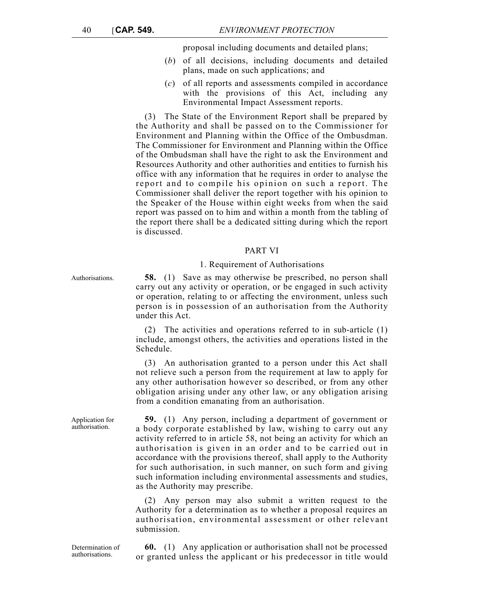proposal including documents and detailed plans;

- (*b*) of all decisions, including documents and detailed plans, made on such applications; and
- (*c*) of all reports and assessments compiled in accordance with the provisions of this Act, including any Environmental Impact Assessment reports.

(3) The State of the Environment Report shall be prepared by the Authority and shall be passed on to the Commissioner for Environment and Planning within the Office of the Ombusdman. The Commissioner for Environment and Planning within the Office of the Ombudsman shall have the right to ask the Environment and Resources Authority and other authorities and entities to furnish his office with any information that he requires in order to analyse the report and to compile his opinion on such a report. The Commissioner shall deliver the report together with his opinion to the Speaker of the House within eight weeks from when the said report was passed on to him and within a month from the tabling of the report there shall be a dedicated sitting during which the report is discussed.

## PART VI

#### 1. Requirement of Authorisations

Authorisations. **58.** (1) Save as may otherwise be prescribed, no person shall carry out any activity or operation, or be engaged in such activity or operation, relating to or affecting the environment, unless such person is in possession of an authorisation from the Authority under this Act.

> The activities and operations referred to in sub-article (1) include, amongst others, the activities and operations listed in the Schedule.

> (3) An authorisation granted to a person under this Act shall not relieve such a person from the requirement at law to apply for any other authorisation however so described, or from any other obligation arising under any other law, or any obligation arising from a condition emanating from an authorisation.

> **59.** (1) Any person, including a department of government or a body corporate established by law, wishing to carry out any activity referred to in article 58, not being an activity for which an authorisation is given in an order and to be carried out in accordance with the provisions thereof, shall apply to the Authority for such authorisation, in such manner, on such form and giving such information including environmental assessments and studies, as the Authority may prescribe.

> (2) Any person may also submit a written request to the Authority for a determination as to whether a proposal requires an authorisation, environmental assessment or other relevant submission.

Determination of authorisations.

**60.** (1) Any application or authorisation shall not be processed or granted unless the applicant or his predecessor in title would

Application for authorisation.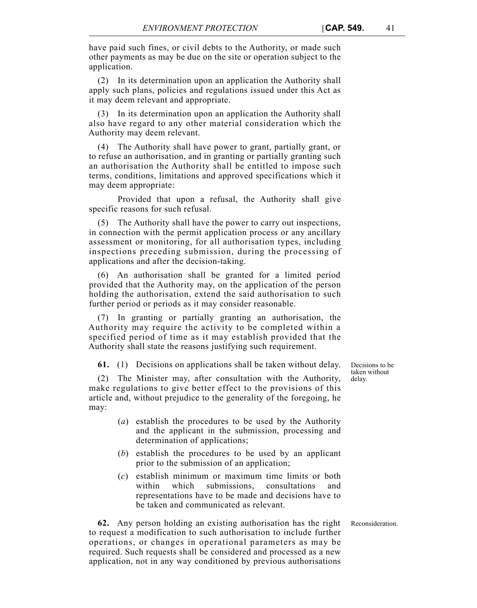have paid such fines, or civil debts to the Authority, or made such other payments as may be due on the site or operation subject to the application.

(2) In its determination upon an application the Authority shall apply such plans, policies and regulations issued under this Act as it may deem relevant and appropriate.

(3) In its determination upon an application the Authority shall also have regard to any other material consideration which the Authority may deem relevant.

(4) The Authority shall have power to grant, partially grant, or to refuse an authorisation, and in granting or partially granting such an authorisation the Authority shall be entitled to impose such terms, conditions, limitations and approved specifications which it may deem appropriate:

Provided that upon a refusal, the Authority shall give specific reasons for such refusal.

(5) The Authority shall have the power to carry out inspections, in connection with the permit application process or any ancillary assessment or monitoring, for all authorisation types, including inspections preceding submission, during the processing of applications and after the decision-taking.

(6) An authorisation shall be granted for a limited period provided that the Authority may, on the application of the person holding the authorisation, extend the said authorisation to such further period or periods as it may consider reasonable.

(7) In granting or partially granting an authorisation, the Authority may require the activity to be completed within a specified period of time as it may establish provided that the Authority shall state the reasons justifying such requirement.

**61.** (1) Decisions on applications shall be taken without delay.

(2) The Minister may, after consultation with the Authority, make regulations to give better effect to the provisions of this article and, without prejudice to the generality of the foregoing, he may:

- (*a*) establish the procedures to be used by the Authority and the applicant in the submission, processing and determination of applications;
- (*b*) establish the procedures to be used by an applicant prior to the submission of an application;
- (*c*) establish minimum or maximum time limits or both within which submissions, consultations and representations have to be made and decisions have to be taken and communicated as relevant.

**62.** Any person holding an existing authorisation has the right Reconsideration. to request a modification to such authorisation to include further operations, or changes in operational parameters as may be required. Such requests shall be considered and processed as a new application, not in any way conditioned by previous authorisations

Decisions to be taken without delay.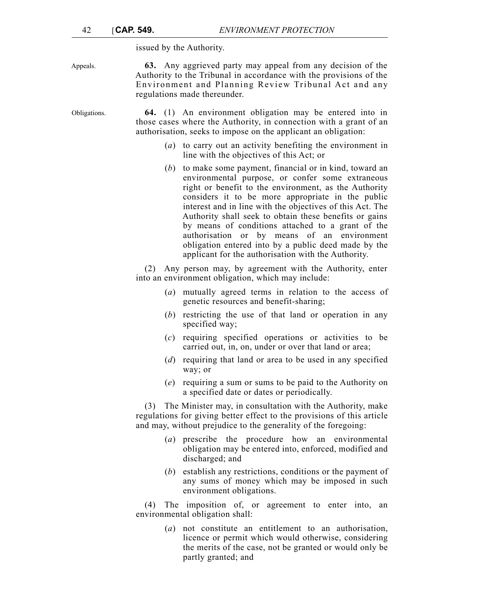issued by the Authority.

Appeals. **63.** Any aggrieved party may appeal from any decision of the Authority to the Tribunal in accordance with the provisions of the Environment and Planning Review Tribunal Act and any regulations made thereunder.

Obligations. **64.** (1) An environment obligation may be entered into in those cases where the Authority, in connection with a grant of an authorisation, seeks to impose on the applicant an obligation:

- (*a*) to carry out an activity benefiting the environment in line with the objectives of this Act; or
- (*b*) to make some payment, financial or in kind, toward an environmental purpose, or confer some extraneous right or benefit to the environment, as the Authority considers it to be more appropriate in the public interest and in line with the objectives of this Act. The Authority shall seek to obtain these benefits or gains by means of conditions attached to a grant of the authorisation or by means of an environment obligation entered into by a public deed made by the applicant for the authorisation with the Authority.

(2) Any person may, by agreement with the Authority, enter into an environment obligation, which may include:

- (*a*) mutually agreed terms in relation to the access of genetic resources and benefit-sharing;
- (*b*) restricting the use of that land or operation in any specified way;
- (*c*) requiring specified operations or activities to be carried out, in, on, under or over that land or area;
- (*d*) requiring that land or area to be used in any specified way; or
- (*e*) requiring a sum or sums to be paid to the Authority on a specified date or dates or periodically.

(3) The Minister may, in consultation with the Authority, make regulations for giving better effect to the provisions of this article and may, without prejudice to the generality of the foregoing:

- (*a*) prescribe the procedure how an environmental obligation may be entered into, enforced, modified and discharged; and
- (*b*) establish any restrictions, conditions or the payment of any sums of money which may be imposed in such environment obligations.

(4) The imposition of, or agreement to enter into, an environmental obligation shall:

> (*a*) not constitute an entitlement to an authorisation, licence or permit which would otherwise, considering the merits of the case, not be granted or would only be partly granted; and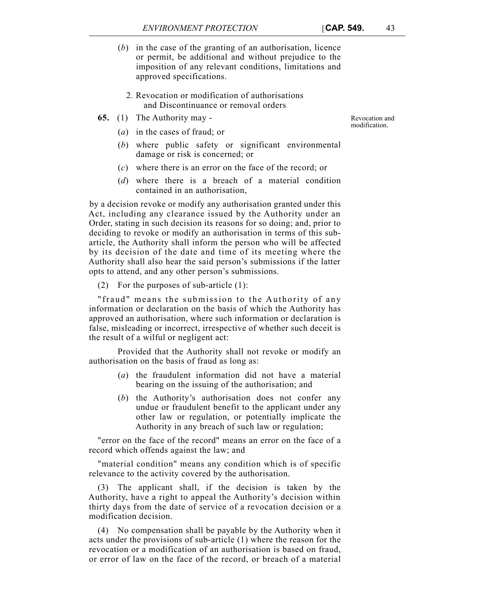- (*b*) in the case of the granting of an authorisation, licence or permit, be additional and without prejudice to the imposition of any relevant conditions, limitations and approved specifications.
	- 2. Revocation or modification of authorisations and Discontinuance or removal orders
- **65.** (1) The Authority may
	- (*a*) in the cases of fraud; or
	- (*b*) where public safety or significant environmental damage or risk is concerned; or
	- (*c*) where there is an error on the face of the record; or
	- (*d*) where there is a breach of a material condition contained in an authorisation,

by a decision revoke or modify any authorisation granted under this Act, including any clearance issued by the Authority under an Order, stating in such decision its reasons for so doing; and, prior to deciding to revoke or modify an authorisation in terms of this subarticle, the Authority shall inform the person who will be affected by its decision of the date and time of its meeting where the Authority shall also hear the said person's submissions if the latter opts to attend, and any other person's submissions.

(2) For the purposes of sub-article (1):

"fraud" means the submission to the Authority of any information or declaration on the basis of which the Authority has approved an authorisation, where such information or declaration is false, misleading or incorrect, irrespective of whether such deceit is the result of a wilful or negligent act:

Provided that the Authority shall not revoke or modify an authorisation on the basis of fraud as long as:

- (*a*) the fraudulent information did not have a material bearing on the issuing of the authorisation; and
- (*b*) the Authority's authorisation does not confer any undue or fraudulent benefit to the applicant under any other law or regulation, or potentially implicate the Authority in any breach of such law or regulation;

"error on the face of the record" means an error on the face of a record which offends against the law; and

"material condition" means any condition which is of specific relevance to the activity covered by the authorisation.

(3) The applicant shall, if the decision is taken by the Authority, have a right to appeal the Authority's decision within thirty days from the date of service of a revocation decision or a modification decision.

(4) No compensation shall be payable by the Authority when it acts under the provisions of sub-article (1) where the reason for the revocation or a modification of an authorisation is based on fraud, or error of law on the face of the record, or breach of a material

Revocation and modification.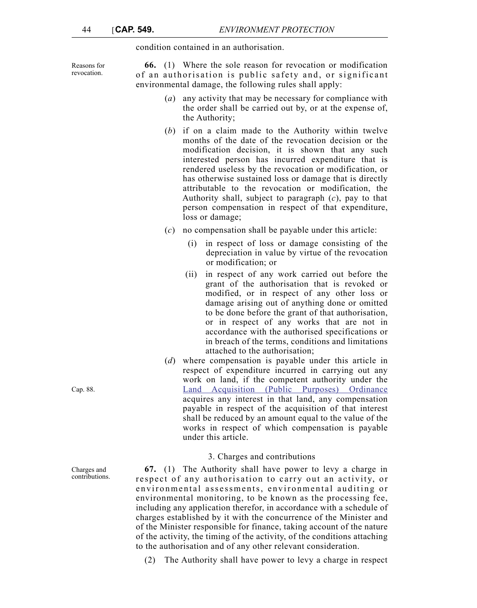condition contained in an authorisation.

Reasons for revocation.

**66.** (1) Where the sole reason for revocation or modification of an authorisation is public safety and, or significant environmental damage, the following rules shall apply:

- (*a*) any activity that may be necessary for compliance with the order shall be carried out by, or at the expense of, the Authority;
- (*b*) if on a claim made to the Authority within twelve months of the date of the revocation decision or the modification decision, it is shown that any such interested person has incurred expenditure that is rendered useless by the revocation or modification, or has otherwise sustained loss or damage that is directly attributable to the revocation or modification, the Authority shall, subject to paragraph (*c*), pay to that person compensation in respect of that expenditure, loss or damage;
- (*c*) no compensation shall be payable under this article:
	- (i) in respect of loss or damage consisting of the depreciation in value by virtue of the revocation or modification; or
	- (ii) in respect of any work carried out before the grant of the authorisation that is revoked or modified, or in respect of any other loss or damage arising out of anything done or omitted to be done before the grant of that authorisation, or in respect of any works that are not in accordance with the authorised specifications or in breach of the terms, conditions and limitations attached to the authorisation;
- (*d*) where compensation is payable under this article in respect of expenditure incurred in carrying out any work on land, if the competent authority under the Land Acquisition (Public Purposes) Ordinance acquires any interest in that land, any compensation payable in respect of the acquisition of that interest shall be reduced by an amount equal to the value of the works in respect of which compensation is payable under this article.

## 3. Charges and contributions

**67.** (1) The Authority shall have power to levy a charge in respect of any authorisation to carry out an activity, or environmental assessments, environmental auditing or environmental monitoring, to be known as the processing fee, including any application therefor, in accordance with a schedule of charges established by it with the concurrence of the Minister and of the Minister responsible for finance, taking account of the nature of the activity, the timing of the activity, of the conditions attaching to the authorisation and of any other relevant consideration.

(2) The Authority shall have power to levy a charge in respect

Cap. 88.

Charges and contributions.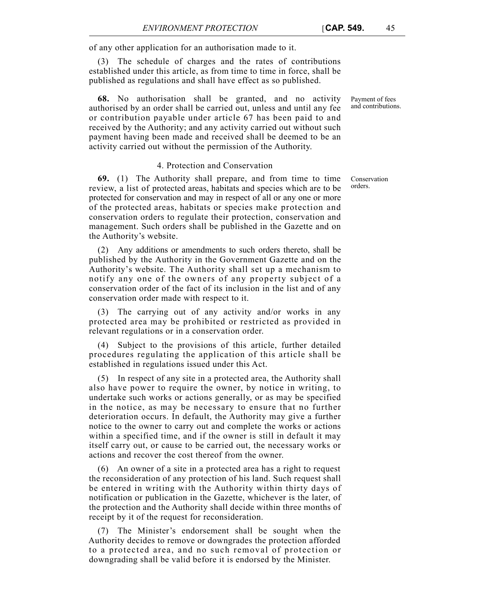of any other application for an authorisation made to it.

(3) The schedule of charges and the rates of contributions established under this article, as from time to time in force, shall be published as regulations and shall have effect as so published.

**68.** No authorisation shall be granted, and no activity authorised by an order shall be carried out, unless and until any fee or contribution payable under article 67 has been paid to and received by the Authority; and any activity carried out without such payment having been made and received shall be deemed to be an activity carried out without the permission of the Authority.

## 4. Protection and Conservation

**69.** (1) The Authority shall prepare, and from time to time review, a list of protected areas, habitats and species which are to be protected for conservation and may in respect of all or any one or more of the protected areas, habitats or species make protection and conservation orders to regulate their protection, conservation and management. Such orders shall be published in the Gazette and on the Authority's website.

(2) Any additions or amendments to such orders thereto, shall be published by the Authority in the Government Gazette and on the Authority's website. The Authority shall set up a mechanism to notify any one of the owners of any property subject of a conservation order of the fact of its inclusion in the list and of any conservation order made with respect to it.

(3) The carrying out of any activity and/or works in any protected area may be prohibited or restricted as provided in relevant regulations or in a conservation order.

(4) Subject to the provisions of this article, further detailed procedures regulating the application of this article shall be established in regulations issued under this Act.

(5) In respect of any site in a protected area, the Authority shall also have power to require the owner, by notice in writing, to undertake such works or actions generally, or as may be specified in the notice, as may be necessary to ensure that no further deterioration occurs. In default, the Authority may give a further notice to the owner to carry out and complete the works or actions within a specified time, and if the owner is still in default it may itself carry out, or cause to be carried out, the necessary works or actions and recover the cost thereof from the owner.

(6) An owner of a site in a protected area has a right to request the reconsideration of any protection of his land. Such request shall be entered in writing with the Authority within thirty days of notification or publication in the Gazette, whichever is the later, of the protection and the Authority shall decide within three months of receipt by it of the request for reconsideration.

(7) The Minister's endorsement shall be sought when the Authority decides to remove or downgrades the protection afforded to a protected area, and no such removal of protection or downgrading shall be valid before it is endorsed by the Minister.

Payment of fees and contributions.

Conservation orders.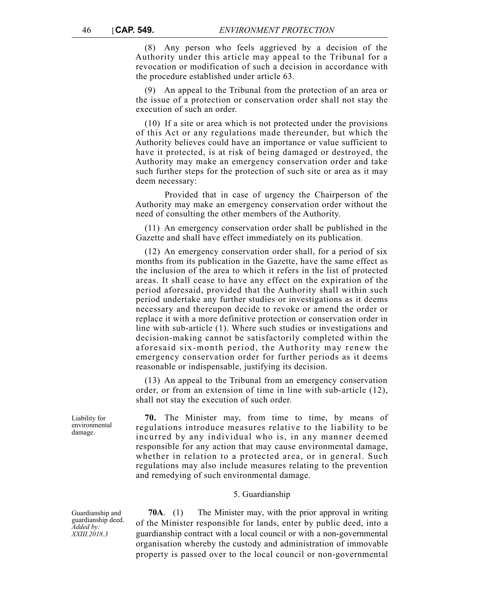(8) Any person who feels aggrieved by a decision of the Authority under this article may appeal to the Tribunal for a revocation or modification of such a decision in accordance with the procedure established under article 63.

(9) An appeal to the Tribunal from the protection of an area or the issue of a protection or conservation order shall not stay the execution of such an order.

(10) If a site or area which is not protected under the provisions of this Act or any regulations made thereunder, but which the Authority believes could have an importance or value sufficient to have it protected, is at risk of being damaged or destroyed, the Authority may make an emergency conservation order and take such further steps for the protection of such site or area as it may deem necessary:

Provided that in case of urgency the Chairperson of the Authority may make an emergency conservation order without the need of consulting the other members of the Authority.

(11) An emergency conservation order shall be published in the Gazette and shall have effect immediately on its publication.

(12) An emergency conservation order shall, for a period of six months from its publication in the Gazette, have the same effect as the inclusion of the area to which it refers in the list of protected areas. It shall cease to have any effect on the expiration of the period aforesaid, provided that the Authority shall within such period undertake any further studies or investigations as it deems necessary and thereupon decide to revoke or amend the order or replace it with a more definitive protection or conservation order in line with sub-article (1). Where such studies or investigations and decision-making cannot be satisfactorily completed within the aforesaid six-month period, the Authority may renew the emergency conservation order for further periods as it deems reasonable or indispensable, justifying its decision.

(13) An appeal to the Tribunal from an emergency conservation order, or from an extension of time in line with sub-article (12), shall not stay the execution of such order.

**70.** The Minister may, from time to time, by means of regulations introduce measures relative to the liability to be incurred by any individual who is, in any manner deemed responsible for any action that may cause environmental damage, whether in relation to a protected area, or in general. Such regulations may also include measures relating to the prevention and remedying of such environmental damage.

#### 5. Guardianship

**70A**. (1) The Minister may, with the prior approval in writing of the Minister responsible for lands, enter by public deed, into a guardianship contract with a local council or with a non-governmental organisation whereby the custody and administration of immovable property is passed over to the local council or non-governmental

Liability for environmental damage.

Guardianship and guardianship deed. *Added by: XXIII.2018.3*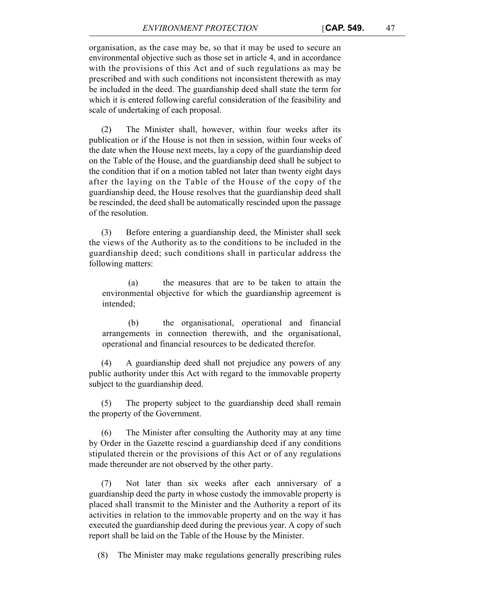organisation, as the case may be, so that it may be used to secure an environmental objective such as those set in article 4, and in accordance with the provisions of this Act and of such regulations as may be prescribed and with such conditions not inconsistent therewith as may be included in the deed. The guardianship deed shall state the term for which it is entered following careful consideration of the feasibility and scale of undertaking of each proposal.

(2) The Minister shall, however, within four weeks after its publication or if the House is not then in session, within four weeks of the date when the House next meets, lay a copy of the guardianship deed on the Table of the House, and the guardianship deed shall be subject to the condition that if on a motion tabled not later than twenty eight days after the laying on the Table of the House of the copy of the guardianship deed, the House resolves that the guardianship deed shall be rescinded, the deed shall be automatically rescinded upon the passage of the resolution.

(3) Before entering a guardianship deed, the Minister shall seek the views of the Authority as to the conditions to be included in the guardianship deed; such conditions shall in particular address the following matters:

(a) the measures that are to be taken to attain the environmental objective for which the guardianship agreement is intended;

(b) the organisational, operational and financial arrangements in connection therewith, and the organisational, operational and financial resources to be dedicated therefor.

(4) A guardianship deed shall not prejudice any powers of any public authority under this Act with regard to the immovable property subject to the guardianship deed.

(5) The property subject to the guardianship deed shall remain the property of the Government.

(6) The Minister after consulting the Authority may at any time by Order in the Gazette rescind a guardianship deed if any conditions stipulated therein or the provisions of this Act or of any regulations made thereunder are not observed by the other party.

Not later than six weeks after each anniversary of a guardianship deed the party in whose custody the immovable property is placed shall transmit to the Minister and the Authority a report of its activities in relation to the immovable property and on the way it has executed the guardianship deed during the previous year. A copy of such report shall be laid on the Table of the House by the Minister.

(8) The Minister may make regulations generally prescribing rules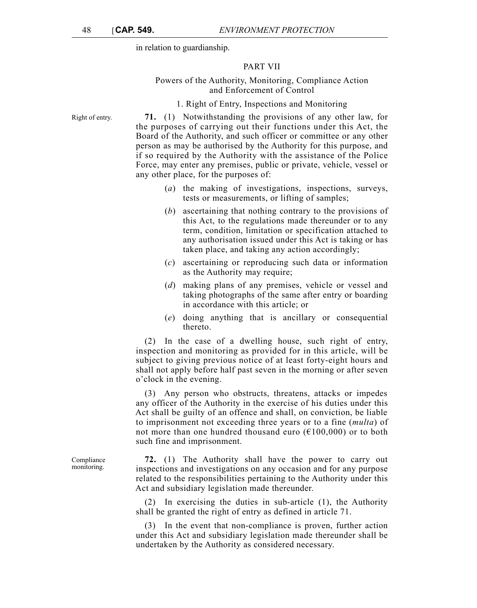in relation to guardianship.

## PART VII

## Powers of the Authority, Monitoring, Compliance Action and Enforcement of Control

## 1. Right of Entry, Inspections and Monitoring

Right of entry. **71.** (1) Notwithstanding the provisions of any other law, for the purposes of carrying out their functions under this Act, the Board of the Authority, and such officer or committee or any other person as may be authorised by the Authority for this purpose, and if so required by the Authority with the assistance of the Police Force, may enter any premises, public or private, vehicle, vessel or any other place, for the purposes of:

- (*a*) the making of investigations, inspections, surveys, tests or measurements, or lifting of samples;
- (*b*) ascertaining that nothing contrary to the provisions of this Act, to the regulations made thereunder or to any term, condition, limitation or specification attached to any authorisation issued under this Act is taking or has taken place, and taking any action accordingly;
- (*c*) ascertaining or reproducing such data or information as the Authority may require;
- (*d*) making plans of any premises, vehicle or vessel and taking photographs of the same after entry or boarding in accordance with this article; or
- (*e*) doing anything that is ancillary or consequential thereto.

(2) In the case of a dwelling house, such right of entry, inspection and monitoring as provided for in this article, will be subject to giving previous notice of at least forty-eight hours and shall not apply before half past seven in the morning or after seven o'clock in the evening.

(3) Any person who obstructs, threatens, attacks or impedes any officer of the Authority in the exercise of his duties under this Act shall be guilty of an offence and shall, on conviction, be liable to imprisonment not exceeding three years or to a fine (*multa*) of not more than one hundred thousand euro ( $\epsilon$ 100,000) or to both such fine and imprisonment.

**72.** (1) The Authority shall have the power to carry out inspections and investigations on any occasion and for any purpose related to the responsibilities pertaining to the Authority under this Act and subsidiary legislation made thereunder.

(2) In exercising the duties in sub-article (1), the Authority shall be granted the right of entry as defined in article 71.

(3) In the event that non-compliance is proven, further action under this Act and subsidiary legislation made thereunder shall be undertaken by the Authority as considered necessary.

Compliance monitoring.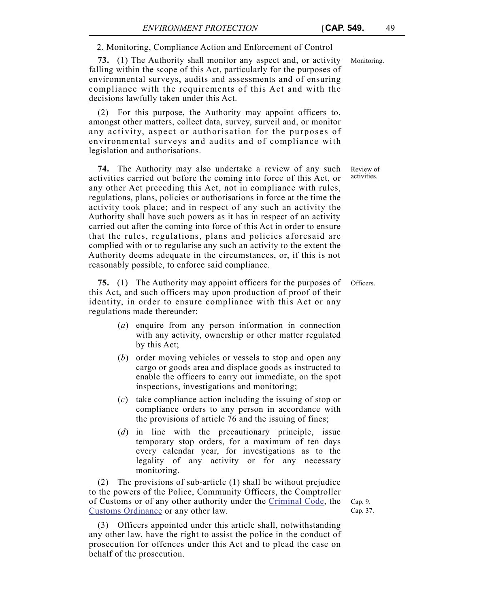2. Monitoring, Compliance Action and Enforcement of Control

**73.** (1) The Authority shall monitor any aspect and, or activity Monitoring. falling within the scope of this Act, particularly for the purposes of environmental surveys, audits and assessments and of ensuring compliance with the requirements of this Act and with the decisions lawfully taken under this Act.

(2) For this purpose, the Authority may appoint officers to, amongst other matters, collect data, survey, surveil and, or monitor any activity, aspect or authorisation for the purposes of environmental surveys and audits and of compliance with legislation and authorisations.

**74.** The Authority may also undertake a review of any such activities carried out before the coming into force of this Act, or any other Act preceding this Act, not in compliance with rules, regulations, plans, policies or authorisations in force at the time the activity took place; and in respect of any such an activity the Authority shall have such powers as it has in respect of an activity carried out after the coming into force of this Act in order to ensure that the rules, regulations, plans and policies aforesaid are complied with or to regularise any such an activity to the extent the Authority deems adequate in the circumstances, or, if this is not reasonably possible, to enforce said compliance.

**75.** (1) The Authority may appoint officers for the purposes of Officers. this Act, and such officers may upon production of proof of their identity, in order to ensure compliance with this Act or any regulations made thereunder:

- (*a*) enquire from any person information in connection with any activity, ownership or other matter regulated by this Act;
- (*b*) order moving vehicles or vessels to stop and open any cargo or goods area and displace goods as instructed to enable the officers to carry out immediate, on the spot inspections, investigations and monitoring;
- (*c*) take compliance action including the issuing of stop or compliance orders to any person in accordance with the provisions of article 76 and the issuing of fines;
- (*d*) in line with the precautionary principle, issue temporary stop orders, for a maximum of ten days every calendar year, for investigations as to the legality of any activity or for any necessary monitoring.

(2) The provisions of sub-article (1) shall be without prejudice to the powers of the Police, Community Officers, the Comptroller of Customs or of any other authority under the Criminal Code, the Customs Ordinance or any other law.

(3) Officers appointed under this article shall, notwithstanding any other law, have the right to assist the police in the conduct of prosecution for offences under this Act and to plead the case on behalf of the prosecution.

Cap. 9. Cap. 37.

Review of activities.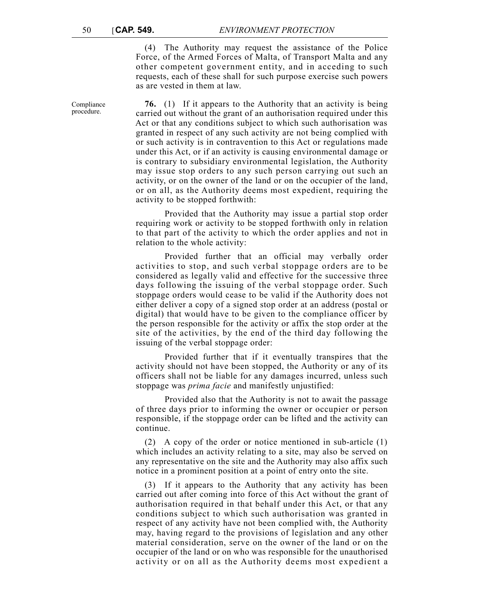(4) The Authority may request the assistance of the Police Force, of the Armed Forces of Malta, of Transport Malta and any other competent government entity, and in acceding to such requests, each of these shall for such purpose exercise such powers as are vested in them at law.

**76.** (1) If it appears to the Authority that an activity is being carried out without the grant of an authorisation required under this Act or that any conditions subject to which such authorisation was granted in respect of any such activity are not being complied with or such activity is in contravention to this Act or regulations made under this Act, or if an activity is causing environmental damage or is contrary to subsidiary environmental legislation, the Authority may issue stop orders to any such person carrying out such an activity, or on the owner of the land or on the occupier of the land, or on all, as the Authority deems most expedient, requiring the activity to be stopped forthwith:

Provided that the Authority may issue a partial stop order requiring work or activity to be stopped forthwith only in relation to that part of the activity to which the order applies and not in relation to the whole activity:

Provided further that an official may verbally order activities to stop, and such verbal stoppage orders are to be considered as legally valid and effective for the successive three days following the issuing of the verbal stoppage order. Such stoppage orders would cease to be valid if the Authority does not either deliver a copy of a signed stop order at an address (postal or digital) that would have to be given to the compliance officer by the person responsible for the activity or affix the stop order at the site of the activities, by the end of the third day following the issuing of the verbal stoppage order:

Provided further that if it eventually transpires that the activity should not have been stopped, the Authority or any of its officers shall not be liable for any damages incurred, unless such stoppage was *prima facie* and manifestly unjustified:

Provided also that the Authority is not to await the passage of three days prior to informing the owner or occupier or person responsible, if the stoppage order can be lifted and the activity can continue.

(2) A copy of the order or notice mentioned in sub-article (1) which includes an activity relating to a site, may also be served on any representative on the site and the Authority may also affix such notice in a prominent position at a point of entry onto the site.

(3) If it appears to the Authority that any activity has been carried out after coming into force of this Act without the grant of authorisation required in that behalf under this Act, or that any conditions subject to which such authorisation was granted in respect of any activity have not been complied with, the Authority may, having regard to the provisions of legislation and any other material consideration, serve on the owner of the land or on the occupier of the land or on who was responsible for the unauthorised activity or on all as the Authority deems most expedient a

Compliance procedure.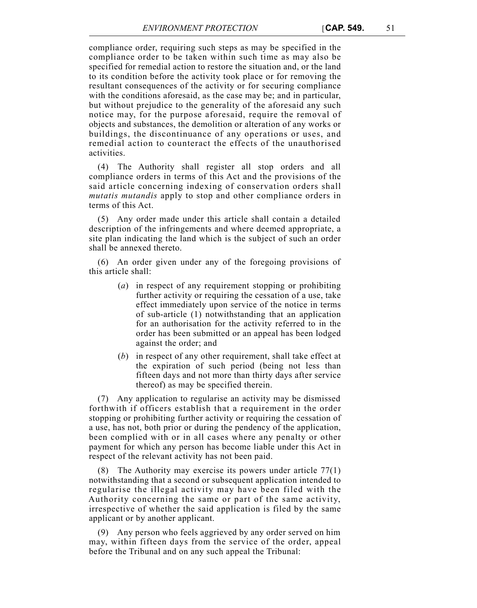compliance order, requiring such steps as may be specified in the compliance order to be taken within such time as may also be specified for remedial action to restore the situation and, or the land to its condition before the activity took place or for removing the resultant consequences of the activity or for securing compliance with the conditions aforesaid, as the case may be; and in particular, but without prejudice to the generality of the aforesaid any such notice may, for the purpose aforesaid, require the removal of objects and substances, the demolition or alteration of any works or buildings, the discontinuance of any operations or uses, and remedial action to counteract the effects of the unauthorised activities.

(4) The Authority shall register all stop orders and all compliance orders in terms of this Act and the provisions of the said article concerning indexing of conservation orders shall *mutatis mutandis* apply to stop and other compliance orders in terms of this Act.

(5) Any order made under this article shall contain a detailed description of the infringements and where deemed appropriate, a site plan indicating the land which is the subject of such an order shall be annexed thereto.

(6) An order given under any of the foregoing provisions of this article shall:

- (*a*) in respect of any requirement stopping or prohibiting further activity or requiring the cessation of a use, take effect immediately upon service of the notice in terms of sub-article (1) notwithstanding that an application for an authorisation for the activity referred to in the order has been submitted or an appeal has been lodged against the order; and
- (*b*) in respect of any other requirement, shall take effect at the expiration of such period (being not less than fifteen days and not more than thirty days after service thereof) as may be specified therein.

(7) Any application to regularise an activity may be dismissed forthwith if officers establish that a requirement in the order stopping or prohibiting further activity or requiring the cessation of a use, has not, both prior or during the pendency of the application, been complied with or in all cases where any penalty or other payment for which any person has become liable under this Act in respect of the relevant activity has not been paid.

(8) The Authority may exercise its powers under article 77(1) notwithstanding that a second or subsequent application intended to regularise the illegal activity may have been filed with the Authority concerning the same or part of the same activity, irrespective of whether the said application is filed by the same applicant or by another applicant.

(9) Any person who feels aggrieved by any order served on him may, within fifteen days from the service of the order, appeal before the Tribunal and on any such appeal the Tribunal: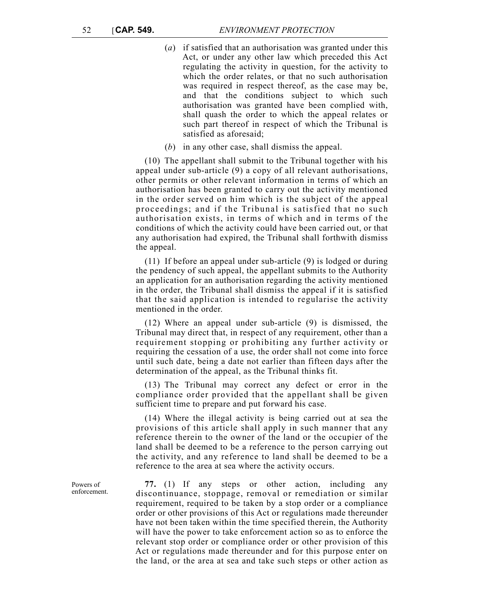- (*a*) if satisfied that an authorisation was granted under this Act, or under any other law which preceded this Act regulating the activity in question, for the activity to which the order relates, or that no such authorisation was required in respect thereof, as the case may be, and that the conditions subject to which such authorisation was granted have been complied with, shall quash the order to which the appeal relates or such part thereof in respect of which the Tribunal is satisfied as aforesaid;
- (*b*) in any other case, shall dismiss the appeal.

(10) The appellant shall submit to the Tribunal together with his appeal under sub-article (9) a copy of all relevant authorisations, other permits or other relevant information in terms of which an authorisation has been granted to carry out the activity mentioned in the order served on him which is the subject of the appeal proceedings; and if the Tribunal is satisfied that no such authorisation exists, in terms of which and in terms of the conditions of which the activity could have been carried out, or that any authorisation had expired, the Tribunal shall forthwith dismiss the appeal.

(11) If before an appeal under sub-article (9) is lodged or during the pendency of such appeal, the appellant submits to the Authority an application for an authorisation regarding the activity mentioned in the order, the Tribunal shall dismiss the appeal if it is satisfied that the said application is intended to regularise the activity mentioned in the order.

(12) Where an appeal under sub-article (9) is dismissed, the Tribunal may direct that, in respect of any requirement, other than a requirement stopping or prohibiting any further activity or requiring the cessation of a use, the order shall not come into force until such date, being a date not earlier than fifteen days after the determination of the appeal, as the Tribunal thinks fit.

(13) The Tribunal may correct any defect or error in the compliance order provided that the appellant shall be given sufficient time to prepare and put forward his case.

(14) Where the illegal activity is being carried out at sea the provisions of this article shall apply in such manner that any reference therein to the owner of the land or the occupier of the land shall be deemed to be a reference to the person carrying out the activity, and any reference to land shall be deemed to be a reference to the area at sea where the activity occurs.

**77.** (1) If any steps or other action, including any discontinuance, stoppage, removal or remediation or similar requirement, required to be taken by a stop order or a compliance order or other provisions of this Act or regulations made thereunder have not been taken within the time specified therein, the Authority will have the power to take enforcement action so as to enforce the relevant stop order or compliance order or other provision of this Act or regulations made thereunder and for this purpose enter on the land, or the area at sea and take such steps or other action as

Powers of enforcement.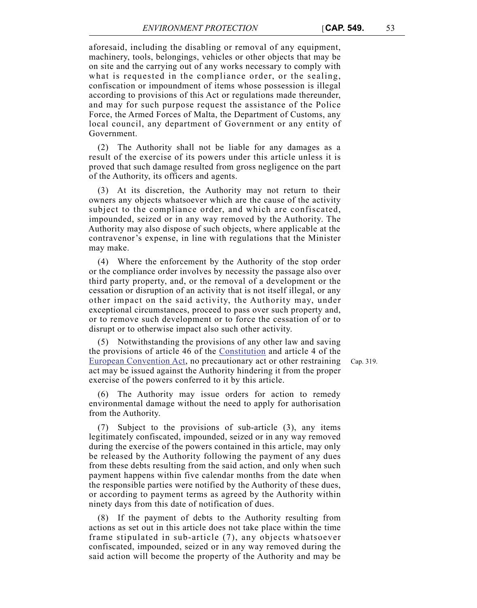aforesaid, including the disabling or removal of any equipment, machinery, tools, belongings, vehicles or other objects that may be on site and the carrying out of any works necessary to comply with what is requested in the compliance order, or the sealing, confiscation or impoundment of items whose possession is illegal according to provisions of this Act or regulations made thereunder, and may for such purpose request the assistance of the Police Force, the Armed Forces of Malta, the Department of Customs, any local council, any department of Government or any entity of Government.

(2) The Authority shall not be liable for any damages as a result of the exercise of its powers under this article unless it is proved that such damage resulted from gross negligence on the part of the Authority, its officers and agents.

(3) At its discretion, the Authority may not return to their owners any objects whatsoever which are the cause of the activity subject to the compliance order, and which are confiscated, impounded, seized or in any way removed by the Authority. The Authority may also dispose of such objects, where applicable at the contravenor's expense, in line with regulations that the Minister may make.

(4) Where the enforcement by the Authority of the stop order or the compliance order involves by necessity the passage also over third party property, and, or the removal of a development or the cessation or disruption of an activity that is not itself illegal, or any other impact on the said activity, the Authority may, under exceptional circumstances, proceed to pass over such property and, or to remove such development or to force the cessation of or to disrupt or to otherwise impact also such other activity.

(5) Notwithstanding the provisions of any other law and saving the provisions of article 46 of the Constitution and article 4 of the European Convention Act, no precautionary act or other restraining act may be issued against the Authority hindering it from the proper exercise of the powers conferred to it by this article.

The Authority may issue orders for action to remedy environmental damage without the need to apply for authorisation from the Authority.

(7) Subject to the provisions of sub-article (3), any items legitimately confiscated, impounded, seized or in any way removed during the exercise of the powers contained in this article, may only be released by the Authority following the payment of any dues from these debts resulting from the said action, and only when such payment happens within five calendar months from the date when the responsible parties were notified by the Authority of these dues, or according to payment terms as agreed by the Authority within ninety days from this date of notification of dues.

(8) If the payment of debts to the Authority resulting from actions as set out in this article does not take place within the time frame stipulated in sub-article (7), any objects whatsoever confiscated, impounded, seized or in any way removed during the said action will become the property of the Authority and may be Cap. 319.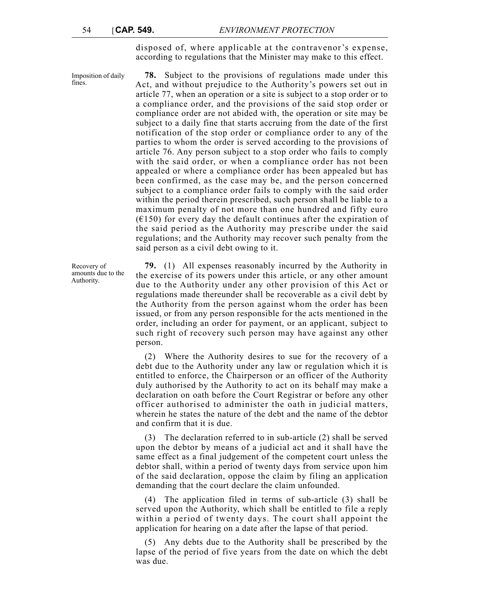disposed of, where applicable at the contravenor's expense, according to regulations that the Minister may make to this effect.

Imposition of daily fines.

**78.** Subject to the provisions of regulations made under this Act, and without prejudice to the Authority's powers set out in article 77, when an operation or a site is subject to a stop order or to a compliance order, and the provisions of the said stop order or compliance order are not abided with, the operation or site may be subject to a daily fine that starts accruing from the date of the first notification of the stop order or compliance order to any of the parties to whom the order is served according to the provisions of article 76. Any person subject to a stop order who fails to comply with the said order, or when a compliance order has not been appealed or where a compliance order has been appealed but has been confirmed, as the case may be, and the person concerned subject to a compliance order fails to comply with the said order within the period therein prescribed, such person shall be liable to a maximum penalty of not more than one hundred and fifty euro  $(6150)$  for every day the default continues after the expiration of the said period as the Authority may prescribe under the said regulations; and the Authority may recover such penalty from the said person as a civil debt owing to it.

**79.** (1) All expenses reasonably incurred by the Authority in the exercise of its powers under this article, or any other amount due to the Authority under any other provision of this Act or regulations made thereunder shall be recoverable as a civil debt by the Authority from the person against whom the order has been issued, or from any person responsible for the acts mentioned in the order, including an order for payment, or an applicant, subject to such right of recovery such person may have against any other person.

(2) Where the Authority desires to sue for the recovery of a debt due to the Authority under any law or regulation which it is entitled to enforce, the Chairperson or an officer of the Authority duly authorised by the Authority to act on its behalf may make a declaration on oath before the Court Registrar or before any other officer authorised to administer the oath in judicial matters, wherein he states the nature of the debt and the name of the debtor and confirm that it is due.

(3) The declaration referred to in sub-article (2) shall be served upon the debtor by means of a judicial act and it shall have the same effect as a final judgement of the competent court unless the debtor shall, within a period of twenty days from service upon him of the said declaration, oppose the claim by filing an application demanding that the court declare the claim unfounded.

(4) The application filed in terms of sub-article (3) shall be served upon the Authority, which shall be entitled to file a reply within a period of twenty days. The court shall appoint the application for hearing on a date after the lapse of that period.

(5) Any debts due to the Authority shall be prescribed by the lapse of the period of five years from the date on which the debt was due.

Recovery of amounts due to the Authority.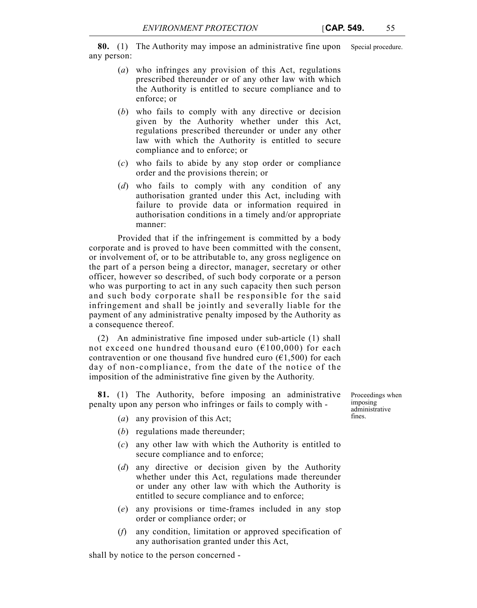**80.** (1) The Authority may impose an administrative fine upon Special procedure. any person:

- (*a*) who infringes any provision of this Act, regulations prescribed thereunder or of any other law with which the Authority is entitled to secure compliance and to enforce; or
- (*b*) who fails to comply with any directive or decision given by the Authority whether under this Act, regulations prescribed thereunder or under any other law with which the Authority is entitled to secure compliance and to enforce; or
- (*c*) who fails to abide by any stop order or compliance order and the provisions therein; or
- (*d*) who fails to comply with any condition of any authorisation granted under this Act, including with failure to provide data or information required in authorisation conditions in a timely and/or appropriate manner:

Provided that if the infringement is committed by a body corporate and is proved to have been committed with the consent, or involvement of, or to be attributable to, any gross negligence on the part of a person being a director, manager, secretary or other officer, however so described, of such body corporate or a person who was purporting to act in any such capacity then such person and such body corporate shall be responsible for the said infringement and shall be jointly and severally liable for the payment of any administrative penalty imposed by the Authority as a consequence thereof.

(2) An administrative fine imposed under sub-article (1) shall not exceed one hundred thousand euro ( $E100,000$ ) for each contravention or one thousand five hundred euro  $(61,500)$  for each day of non-compliance, from the date of the notice of the imposition of the administrative fine given by the Authority.

**81.** (1) The Authority, before imposing an administrative penalty upon any person who infringes or fails to comply with -

- (*a*) any provision of this Act;
- (*b*) regulations made thereunder;
- (*c*) any other law with which the Authority is entitled to secure compliance and to enforce;
- (*d*) any directive or decision given by the Authority whether under this Act, regulations made thereunder or under any other law with which the Authority is entitled to secure compliance and to enforce;
- (*e*) any provisions or time-frames included in any stop order or compliance order; or
- (*f*) any condition, limitation or approved specification of any authorisation granted under this Act,

shall by notice to the person concerned -

Proceedings when imposing administrative fines.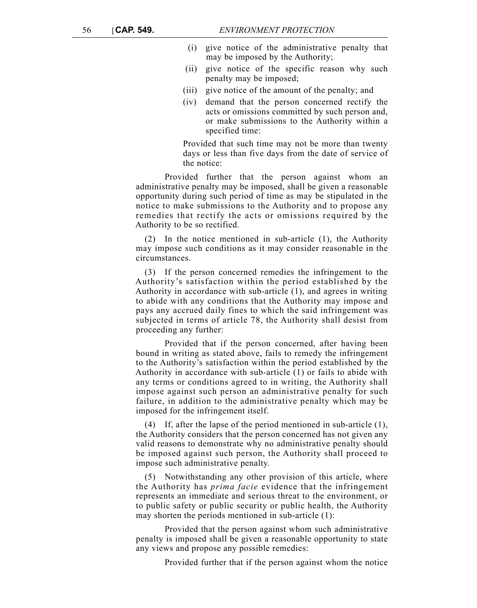- (i) give notice of the administrative penalty that may be imposed by the Authority;
- (ii) give notice of the specific reason why such penalty may be imposed;
- (iii) give notice of the amount of the penalty; and
- (iv) demand that the person concerned rectify the acts or omissions committed by such person and, or make submissions to the Authority within a specified time:

Provided that such time may not be more than twenty days or less than five days from the date of service of the notice:

Provided further that the person against whom an administrative penalty may be imposed, shall be given a reasonable opportunity during such period of time as may be stipulated in the notice to make submissions to the Authority and to propose any remedies that rectify the acts or omissions required by the Authority to be so rectified.

(2) In the notice mentioned in sub-article (1), the Authority may impose such conditions as it may consider reasonable in the circumstances.

(3) If the person concerned remedies the infringement to the Authority's satisfaction within the period established by the Authority in accordance with sub-article (1), and agrees in writing to abide with any conditions that the Authority may impose and pays any accrued daily fines to which the said infringement was subjected in terms of article 78, the Authority shall desist from proceeding any further:

Provided that if the person concerned, after having been bound in writing as stated above, fails to remedy the infringement to the Authority's satisfaction within the period established by the Authority in accordance with sub-article (1) or fails to abide with any terms or conditions agreed to in writing, the Authority shall impose against such person an administrative penalty for such failure, in addition to the administrative penalty which may be imposed for the infringement itself.

(4) If, after the lapse of the period mentioned in sub-article (1), the Authority considers that the person concerned has not given any valid reasons to demonstrate why no administrative penalty should be imposed against such person, the Authority shall proceed to impose such administrative penalty.

(5) Notwithstanding any other provision of this article, where the Authority has *prima facie* evidence that the infringement represents an immediate and serious threat to the environment, or to public safety or public security or public health, the Authority may shorten the periods mentioned in sub-article (1):

Provided that the person against whom such administrative penalty is imposed shall be given a reasonable opportunity to state any views and propose any possible remedies:

Provided further that if the person against whom the notice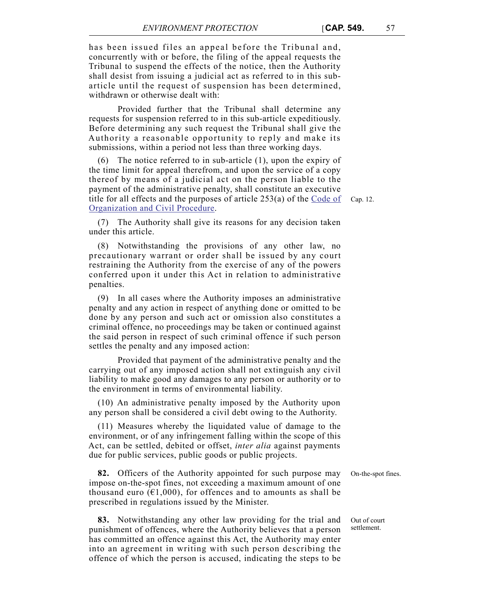has been issued files an appeal before the Tribunal and, concurrently with or before, the filing of the appeal requests the Tribunal to suspend the effects of the notice, then the Authority shall desist from issuing a judicial act as referred to in this subarticle until the request of suspension has been determined, withdrawn or otherwise dealt with:

Provided further that the Tribunal shall determine any requests for suspension referred to in this sub-article expeditiously. Before determining any such request the Tribunal shall give the Authority a reasonable opportunity to reply and make its submissions, within a period not less than three working days.

title for all effects and the purposes of article  $253(a)$  of the  $\overline{\text{Code of}}$  Cap. 12. (6) The notice referred to in sub-article (1), upon the expiry of the time limit for appeal therefrom, and upon the service of a copy thereof by means of a judicial act on the person liable to the payment of the administrative penalty, shall constitute an executive Organization and Civil Procedure.

(7) The Authority shall give its reasons for any decision taken under this article.

(8) Notwithstanding the provisions of any other law, no precautionary warrant or order shall be issued by any court restraining the Authority from the exercise of any of the powers conferred upon it under this Act in relation to administrative penalties.

(9) In all cases where the Authority imposes an administrative penalty and any action in respect of anything done or omitted to be done by any person and such act or omission also constitutes a criminal offence, no proceedings may be taken or continued against the said person in respect of such criminal offence if such person settles the penalty and any imposed action:

Provided that payment of the administrative penalty and the carrying out of any imposed action shall not extinguish any civil liability to make good any damages to any person or authority or to the environment in terms of environmental liability.

(10) An administrative penalty imposed by the Authority upon any person shall be considered a civil debt owing to the Authority.

(11) Measures whereby the liquidated value of damage to the environment, or of any infringement falling within the scope of this Act, can be settled, debited or offset, *inter alia* against payments due for public services, public goods or public projects.

**82.** Officers of the Authority appointed for such purpose may On-the-spot fines. impose on-the-spot fines, not exceeding a maximum amount of one thousand euro ( $\epsilon$ 1,000), for offences and to amounts as shall be prescribed in regulations issued by the Minister.

**83.** Notwithstanding any other law providing for the trial and punishment of offences, where the Authority believes that a person has committed an offence against this Act, the Authority may enter into an agreement in writing with such person describing the offence of which the person is accused, indicating the steps to be

Out of court settlement.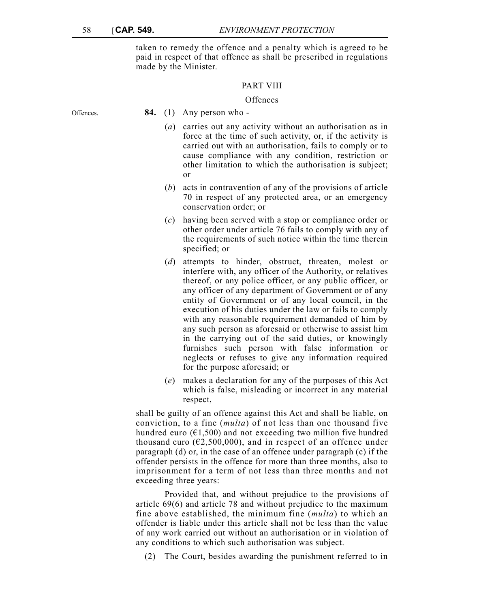taken to remedy the offence and a penalty which is agreed to be paid in respect of that offence as shall be prescribed in regulations made by the Minister.

## PART VIII

#### **Offences**

Offences. **84.** (1) Any person who -

- (*a*) carries out any activity without an authorisation as in force at the time of such activity, or, if the activity is carried out with an authorisation, fails to comply or to cause compliance with any condition, restriction or other limitation to which the authorisation is subject; or
- (*b*) acts in contravention of any of the provisions of article 70 in respect of any protected area, or an emergency conservation order; or
- (*c*) having been served with a stop or compliance order or other order under article 76 fails to comply with any of the requirements of such notice within the time therein specified; or
- (*d*) attempts to hinder, obstruct, threaten, molest or interfere with, any officer of the Authority, or relatives thereof, or any police officer, or any public officer, or any officer of any department of Government or of any entity of Government or of any local council, in the execution of his duties under the law or fails to comply with any reasonable requirement demanded of him by any such person as aforesaid or otherwise to assist him in the carrying out of the said duties, or knowingly furnishes such person with false information or neglects or refuses to give any information required for the purpose aforesaid; or
- (*e*) makes a declaration for any of the purposes of this Act which is false, misleading or incorrect in any material respect,

shall be guilty of an offence against this Act and shall be liable, on conviction, to a fine (*multa*) of not less than one thousand five hundred euro  $(61,500)$  and not exceeding two million five hundred thousand euro ( $\epsilon$ 2,500,000), and in respect of an offence under paragraph (d) or, in the case of an offence under paragraph (c) if the offender persists in the offence for more than three months, also to imprisonment for a term of not less than three months and not exceeding three years:

Provided that, and without prejudice to the provisions of article 69(6) and article 78 and without prejudice to the maximum fine above established, the minimum fine (*multa*) to which an offender is liable under this article shall not be less than the value of any work carried out without an authorisation or in violation of any conditions to which such authorisation was subject.

(2) The Court, besides awarding the punishment referred to in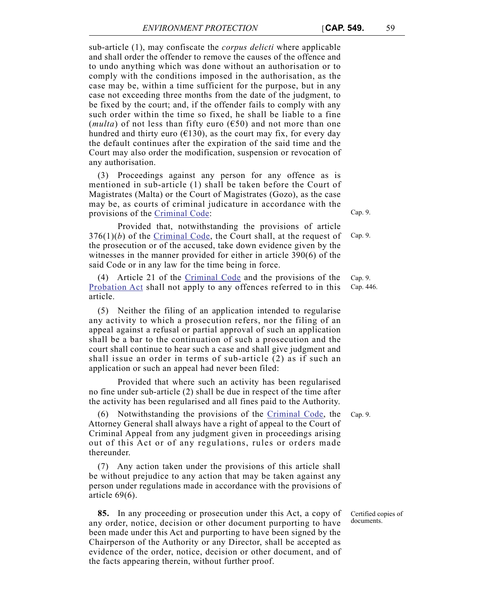sub-article (1), may confiscate the *corpus delicti* where applicable and shall order the offender to remove the causes of the offence and to undo anything which was done without an authorisation or to comply with the conditions imposed in the authorisation, as the case may be, within a time sufficient for the purpose, but in any case not exceeding three months from the date of the judgment, to be fixed by the court; and, if the offender fails to comply with any such order within the time so fixed, he shall be liable to a fine (*multa*) of not less than fifty euro ( $650$ ) and not more than one hundred and thirty euro ( $\epsilon$ 130), as the court may fix, for every day the default continues after the expiration of the said time and the Court may also order the modification, suspension or revocation of any authorisation.

(3) Proceedings against any person for any offence as is mentioned in sub-article (1) shall be taken before the Court of Magistrates (Malta) or the Court of Magistrates (Gozo), as the case may be, as courts of criminal judicature in accordance with the provisions of the Criminal Code:

Provided that, notwithstanding the provisions of article 376(1)(*b*) of the Criminal Code, the Court shall, at the request of the prosecution or of the accused, take down evidence given by the witnesses in the manner provided for either in article 390(6) of the said Code or in any law for the time being in force.

(4) Article 21 of the Criminal Code and the provisions of the Probation Act shall not apply to any offences referred to in this article.

(5) Neither the filing of an application intended to regularise any activity to which a prosecution refers, nor the filing of an appeal against a refusal or partial approval of such an application shall be a bar to the continuation of such a prosecution and the court shall continue to hear such a case and shall give judgment and shall issue an order in terms of sub-article (2) as if such an application or such an appeal had never been filed:

Provided that where such an activity has been regularised no fine under sub-article (2) shall be due in respect of the time after the activity has been regularised and all fines paid to the Authority.

(6) Notwithstanding the provisions of the Criminal Code, the Cap. 9. Attorney General shall always have a right of appeal to the Court of Criminal Appeal from any judgment given in proceedings arising out of this Act or of any regulations, rules or orders made thereunder.

(7) Any action taken under the provisions of this article shall be without prejudice to any action that may be taken against any person under regulations made in accordance with the provisions of article 69(6).

**85.** In any proceeding or prosecution under this Act, a copy of any order, notice, decision or other document purporting to have been made under this Act and purporting to have been signed by the Chairperson of the Authority or any Director, shall be accepted as evidence of the order, notice, decision or other document, and of the facts appearing therein, without further proof.

Cap. 9.

Cap. 9.

Cap. 9. Cap. 446.

Certified copies of documents.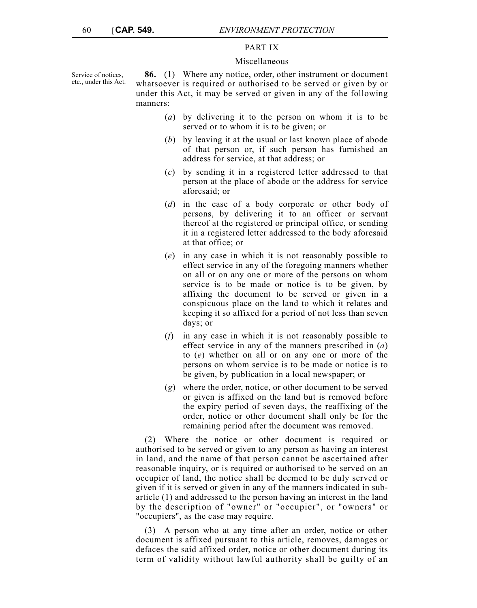## PART IX

#### Miscellaneous

Service of notices, etc., under this Act.

**86.** (1) Where any notice, order, other instrument or document whatsoever is required or authorised to be served or given by or under this Act, it may be served or given in any of the following manners:

- (*a*) by delivering it to the person on whom it is to be served or to whom it is to be given; or
- (*b*) by leaving it at the usual or last known place of abode of that person or, if such person has furnished an address for service, at that address; or
- (*c*) by sending it in a registered letter addressed to that person at the place of abode or the address for service aforesaid; or
- (*d*) in the case of a body corporate or other body of persons, by delivering it to an officer or servant thereof at the registered or principal office, or sending it in a registered letter addressed to the body aforesaid at that office; or
- (*e*) in any case in which it is not reasonably possible to effect service in any of the foregoing manners whether on all or on any one or more of the persons on whom service is to be made or notice is to be given, by affixing the document to be served or given in a conspicuous place on the land to which it relates and keeping it so affixed for a period of not less than seven days; or
- (*f*) in any case in which it is not reasonably possible to effect service in any of the manners prescribed in (*a*) to (*e*) whether on all or on any one or more of the persons on whom service is to be made or notice is to be given, by publication in a local newspaper; or
- (*g*) where the order, notice, or other document to be served or given is affixed on the land but is removed before the expiry period of seven days, the reaffixing of the order, notice or other document shall only be for the remaining period after the document was removed.

(2) Where the notice or other document is required or authorised to be served or given to any person as having an interest in land, and the name of that person cannot be ascertained after reasonable inquiry, or is required or authorised to be served on an occupier of land, the notice shall be deemed to be duly served or given if it is served or given in any of the manners indicated in subarticle (1) and addressed to the person having an interest in the land by the description of "owner" or "occupier", or "owners" or "occupiers", as the case may require.

(3) A person who at any time after an order, notice or other document is affixed pursuant to this article, removes, damages or defaces the said affixed order, notice or other document during its term of validity without lawful authority shall be guilty of an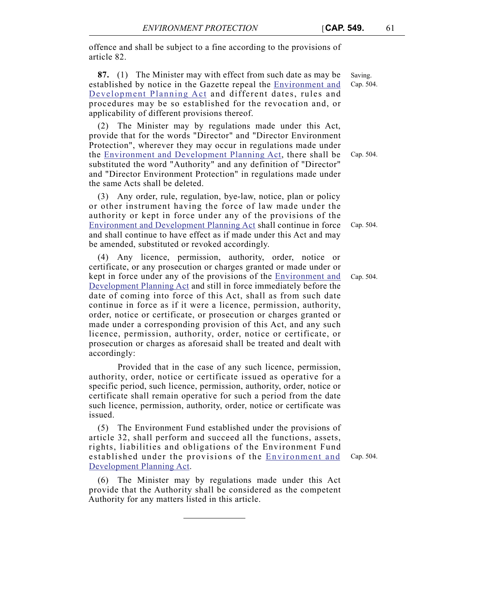offence and shall be subject to a fine according to the provisions of article 82.

**87.** (1) The Minister may with effect from such date as may be established by notice in the Gazette repeal the Environment and Development Planning Act and different dates, rules and procedures may be so established for the revocation and, or applicability of different provisions thereof.

(2) The Minister may by regulations made under this Act, provide that for the words "Director" and "Director Environment Protection", wherever they may occur in regulations made under the Environment and Development Planning Act, there shall be substituted the word "Authority" and any definition of "Director" and "Director Environment Protection" in regulations made under the same Acts shall be deleted.

(3) Any order, rule, regulation, bye-law, notice, plan or policy or other instrument having the force of law made under the authority or kept in force under any of the provisions of the Environment and Development Planning Act shall continue in force and shall continue to have effect as if made under this Act and may be amended, substituted or revoked accordingly.

(4) Any licence, permission, authority, order, notice or certificate, or any prosecution or charges granted or made under or kept in force under any of the provisions of the **Environment** and Development Planning Act and still in force immediately before the date of coming into force of this Act, shall as from such date continue in force as if it were a licence, permission, authority, order, notice or certificate, or prosecution or charges granted or made under a corresponding provision of this Act, and any such licence, permission, authority, order, notice or certificate, or prosecution or charges as aforesaid shall be treated and dealt with accordingly:

Provided that in the case of any such licence, permission, authority, order, notice or certificate issued as operative for a specific period, such licence, permission, authority, order, notice or certificate shall remain operative for such a period from the date such licence, permission, authority, order, notice or certificate was issued.

(5) The Environment Fund established under the provisions of article 32, shall perform and succeed all the functions, assets, rights, liabilities and obligations of the Environment Fund established under the provisions of the Environment and Development Planning Act.

(6) The Minister may by regulations made under this Act provide that the Authority shall be considered as the competent Authority for any matters listed in this article.

Saving. Cap. 504.

Cap. 504.

Cap. 504.

Cap. 504.

Cap. 504.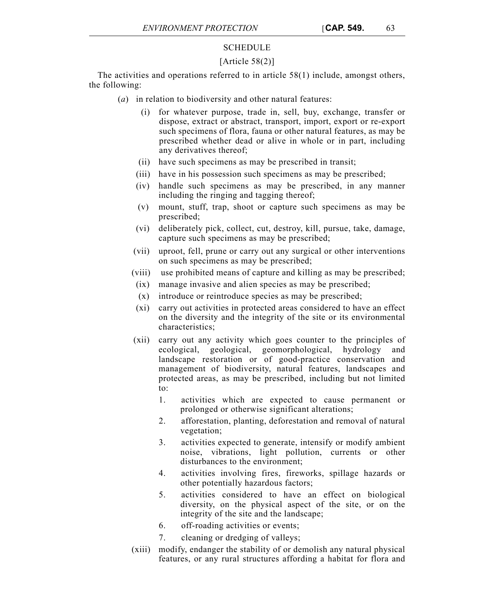# SCHEDULE

# [Article  $58(2)$ ]

The activities and operations referred to in article  $58(1)$  include, amongst others, the following:

- (*a*) in relation to biodiversity and other natural features:
	- (i) for whatever purpose, trade in, sell, buy, exchange, transfer or dispose, extract or abstract, transport, import, export or re-export such specimens of flora, fauna or other natural features, as may be prescribed whether dead or alive in whole or in part, including any derivatives thereof;
	- (ii) have such specimens as may be prescribed in transit;
	- (iii) have in his possession such specimens as may be prescribed;
	- (iv) handle such specimens as may be prescribed, in any manner including the ringing and tagging thereof;
	- (v) mount, stuff, trap, shoot or capture such specimens as may be prescribed;
	- (vi) deliberately pick, collect, cut, destroy, kill, pursue, take, damage, capture such specimens as may be prescribed;
	- (vii) uproot, fell, prune or carry out any surgical or other interventions on such specimens as may be prescribed;
	- (viii) use prohibited means of capture and killing as may be prescribed;
	- (ix) manage invasive and alien species as may be prescribed;
	- (x) introduce or reintroduce species as may be prescribed;
	- (xi) carry out activities in protected areas considered to have an effect on the diversity and the integrity of the site or its environmental characteristics;
	- (xii) carry out any activity which goes counter to the principles of ecological, geological, geomorphological, hydrology and landscape restoration or of good-practice conservation and management of biodiversity, natural features, landscapes and protected areas, as may be prescribed, including but not limited to:
		- 1. activities which are expected to cause permanent or prolonged or otherwise significant alterations;
		- 2. afforestation, planting, deforestation and removal of natural vegetation;
		- 3. activities expected to generate, intensify or modify ambient noise, vibrations, light pollution, currents or other disturbances to the environment;
		- 4. activities involving fires, fireworks, spillage hazards or other potentially hazardous factors;
		- 5. activities considered to have an effect on biological diversity, on the physical aspect of the site, or on the integrity of the site and the landscape;
		- 6. off-roading activities or events;
		- 7. cleaning or dredging of valleys;
	- (xiii) modify, endanger the stability of or demolish any natural physical features, or any rural structures affording a habitat for flora and